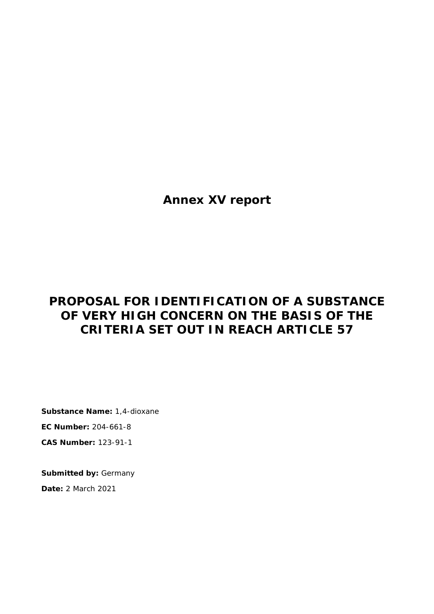**Annex XV report**

# **PROPOSAL FOR IDENTIFICATION OF A SUBSTANCE OF VERY HIGH CONCERN ON THE BASIS OF THE CRITERIA SET OUT IN REACH ARTICLE 57**

**Substance Name:** 1,4-dioxane **EC Number:** 204-661-8 **CAS Number:** 123-91-1

**Submitted by:** Germany **Date:** 2 March 2021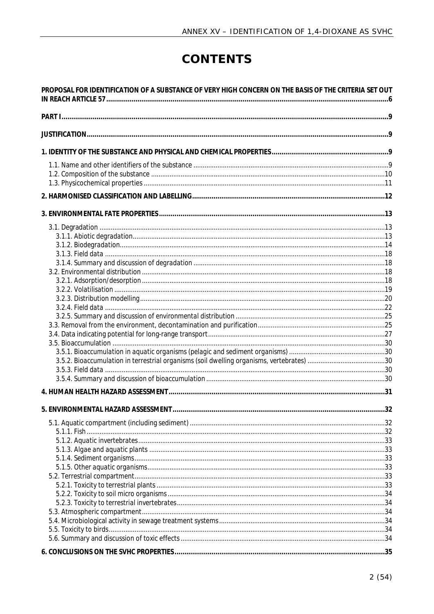# CONTENTS

| PROPOSAL FOR IDENTIFICATION OF A SUBSTANCE OF VERY HIGH CONCERN ON THE BASIS OF THE CRITERIA SET OUT |  |
|------------------------------------------------------------------------------------------------------|--|
|                                                                                                      |  |
|                                                                                                      |  |
|                                                                                                      |  |
|                                                                                                      |  |
|                                                                                                      |  |
|                                                                                                      |  |
|                                                                                                      |  |
|                                                                                                      |  |
|                                                                                                      |  |
|                                                                                                      |  |
|                                                                                                      |  |
|                                                                                                      |  |
|                                                                                                      |  |
|                                                                                                      |  |
|                                                                                                      |  |
|                                                                                                      |  |
|                                                                                                      |  |
|                                                                                                      |  |
|                                                                                                      |  |
|                                                                                                      |  |
|                                                                                                      |  |
|                                                                                                      |  |
|                                                                                                      |  |
|                                                                                                      |  |
|                                                                                                      |  |
|                                                                                                      |  |
|                                                                                                      |  |
|                                                                                                      |  |
|                                                                                                      |  |
|                                                                                                      |  |
|                                                                                                      |  |
|                                                                                                      |  |
|                                                                                                      |  |
|                                                                                                      |  |
|                                                                                                      |  |
|                                                                                                      |  |
|                                                                                                      |  |
|                                                                                                      |  |
|                                                                                                      |  |
|                                                                                                      |  |
|                                                                                                      |  |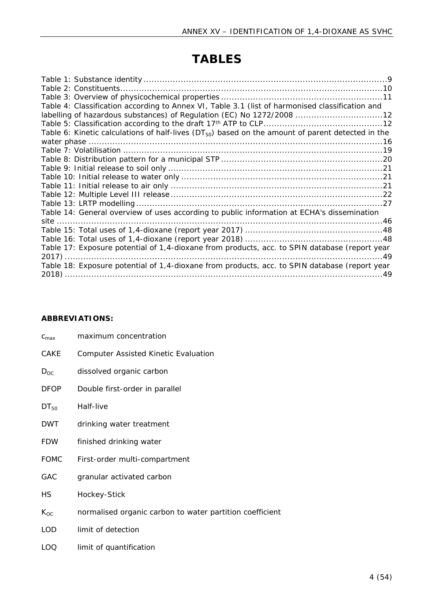# **TABLES**

| Table 4: Classification according to Annex VI, Table 3.1 (list of harmonised classification and       |
|-------------------------------------------------------------------------------------------------------|
| labelling of hazardous substances) of Regulation (EC) No 1272/2008 12                                 |
|                                                                                                       |
| Table 6: Kinetic calculations of half-lives $(DT_{50})$ based on the amount of parent detected in the |
|                                                                                                       |
|                                                                                                       |
|                                                                                                       |
|                                                                                                       |
|                                                                                                       |
|                                                                                                       |
|                                                                                                       |
|                                                                                                       |
| Table 14: General overview of uses according to public information at ECHA's dissemination            |
|                                                                                                       |
|                                                                                                       |
|                                                                                                       |
| Table 17: Exposure potential of 1,4-dioxane from products, acc. to SPIN database (report year         |
|                                                                                                       |
| Table 18: Exposure potential of 1,4-dioxane from products, acc. to SPIN database (report year         |
|                                                                                                       |

## **ABBREVIATIONS:**

| $C_{\text{max}}$ | maximum concentration                                    |
|------------------|----------------------------------------------------------|
| CAKE             | <b>Computer Assisted Kinetic Evaluation</b>              |
| $D_{OC}$         | dissolved organic carbon                                 |
| <b>DFOP</b>      | Double first-order in parallel                           |
| $DT_{50}$        | Half-live                                                |
| DWT              | drinking water treatment                                 |
| <b>FDW</b>       | finished drinking water                                  |
| <b>FOMC</b>      | First-order multi-compartment                            |
| GAC              | granular activated carbon                                |
| НS               | Hockey-Stick                                             |
| $K_{OC}$         | normalised organic carbon to water partition coefficient |
| <b>LOD</b>       | limit of detection                                       |
| LOQ              | limit of quantification                                  |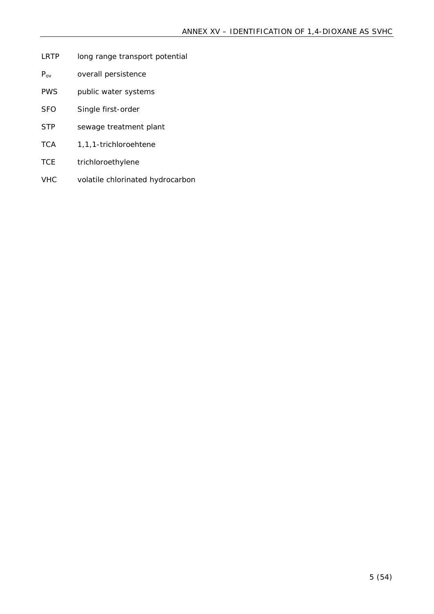- LRTP long range transport potential
- P<sub>ov</sub> overall persistence
- PWS public water systems
- SFO Single first-order
- STP sewage treatment plant
- TCA 1,1,1-trichloroehtene
- TCE trichloroethylene
- VHC volatile chlorinated hydrocarbon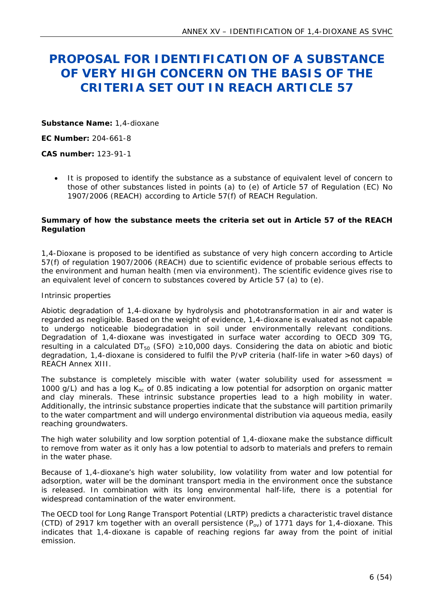# <span id="page-5-0"></span>**PROPOSAL FOR IDENTIFICATION OF A SUBSTANCE OF VERY HIGH CONCERN ON THE BASIS OF THE CRITERIA SET OUT IN REACH ARTICLE 57**

**Substance Name:** 1,4-dioxane

**EC Number:** 204-661-8

**CAS number:** 123-91-1

 It is proposed to identify the substance as a substance of equivalent level of concern to those of other substances listed in points (a) to (e) of Article 57 of Regulation (EC) No 1907/2006 (REACH) according to Article 57(f) of REACH Regulation.

**Summary of how the substance meets the criteria set out in Article 57 of the REACH Regulation**

1,4-Dioxane is proposed to be identified as substance of very high concern according to Article 57(f) of regulation 1907/2006 (REACH) due to scientific evidence of probable serious effects to the environment and human health (men via environment). The scientific evidence gives rise to an equivalent level of concern to substances covered by Article 57 (a) to (e).

#### *Intrinsic properties*

Abiotic degradation of 1,4-dioxane by hydrolysis and phototransformation in air and water is regarded as negligible. Based on the weight of evidence, 1,4-dioxane is evaluated as not capable to undergo noticeable biodegradation in soil under environmentally relevant conditions. Degradation of 1,4-dioxane was investigated in surface water according to OECD 309 TG, resulting in a calculated  $DT_{50}$  (SFO)  $\geq 10,000$  days. Considering the data on abiotic and biotic degradation, 1,4-dioxane is considered to fulfil the P/vP criteria (half-life in water >60 days) of REACH Annex XIII.

The substance is completely miscible with water (water solubility used for assessment  $=$ 1000 g/L) and has a log  $K_{\text{oc}}$  of 0.85 indicating a low potential for adsorption on organic matter and clay minerals. These intrinsic substance properties lead to a high mobility in water. Additionally, the intrinsic substance properties indicate that the substance will partition primarily to the water compartment and will undergo environmental distribution via aqueous media, easily reaching groundwaters.

The high water solubility and low sorption potential of 1,4-dioxane make the substance difficult to remove from water as it only has a low potential to adsorb to materials and prefers to remain in the water phase.

Because of 1,4-dioxane's high water solubility, low volatility from water and low potential for adsorption, water will be the dominant transport media in the environment once the substance is released. In combination with its long environmental half-life, there is a potential for widespread contamination of the water environment.

The OECD tool for Long Range Transport Potential (LRTP) predicts a characteristic travel distance (CTD) of 2917 km together with an overall persistence  $(P_{\alpha\nu})$  of 1771 days for 1,4-dioxane. This indicates that 1,4-dioxane is capable of reaching regions far away from the point of initial emission.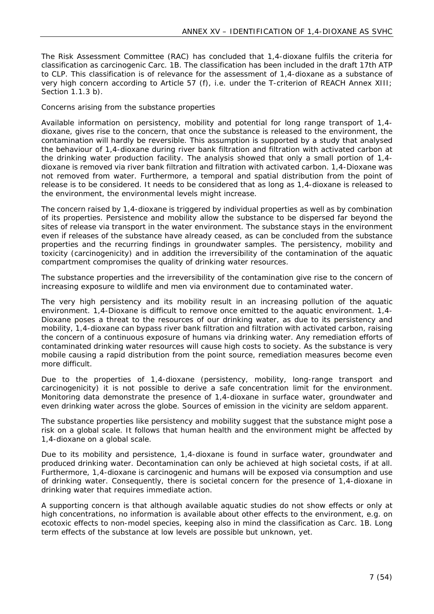The Risk Assessment Committee (RAC) has concluded that 1,4-dioxane fulfils the criteria for classification as carcinogenic Carc. 1B. The classification has been included in the draft 17th ATP to CLP. This classification is of relevance for the assessment of 1,4-dioxane as a substance of very high concern according to Article 57 (f), i.e. under the T-criterion of REACH Annex XIII; Section 1.1.3 b).

#### *Concerns arising from the substance properties*

Available information on persistency, mobility and potential for long range transport of 1,4 dioxane, gives rise to the concern, that once the substance is released to the environment, the contamination will hardly be reversible. This assumption is supported by a study that analysed the behaviour of 1,4-dioxane during river bank filtration and filtration with activated carbon at the drinking water production facility. The analysis showed that only a small portion of 1,4 dioxane is removed via river bank filtration and filtration with activated carbon. 1,4-Dioxane was not removed from water. Furthermore, a temporal and spatial distribution from the point of release is to be considered. It needs to be considered that as long as 1,4-dioxane is released to the environment, the environmental levels might increase.

The concern raised by 1,4-dioxane is triggered by individual properties as well as by combination of its properties. Persistence and mobility allow the substance to be dispersed far beyond the sites of release via transport in the water environment. The substance stays in the environment even if releases of the substance have already ceased, as can be concluded from the substance properties and the recurring findings in groundwater samples. The persistency, mobility and toxicity (carcinogenicity) and in addition the irreversibility of the contamination of the aquatic compartment compromises the quality of drinking water resources.

The substance properties and the irreversibility of the contamination give rise to the concern of increasing exposure to wildlife and men via environment due to contaminated water.

The very high persistency and its mobility result in an increasing pollution of the aquatic environment. 1,4-Dioxane is difficult to remove once emitted to the aquatic environment. 1,4- Dioxane poses a threat to the resources of our drinking water, as due to its persistency and mobility, 1,4-dioxane can bypass river bank filtration and filtration with activated carbon, raising the concern of a continuous exposure of humans via drinking water. Any remediation efforts of contaminated drinking water resources will cause high costs to society. As the substance is very mobile causing a rapid distribution from the point source, remediation measures become even more difficult.

Due to the properties of 1,4-dioxane (persistency, mobility, long-range transport and carcinogenicity) it is not possible to derive a safe concentration limit for the environment. Monitoring data demonstrate the presence of 1,4-dioxane in surface water, groundwater and even drinking water across the globe. Sources of emission in the vicinity are seldom apparent.

The substance properties like persistency and mobility suggest that the substance might pose a risk on a global scale. It follows that human health and the environment might be affected by 1,4-dioxane on a global scale.

Due to its mobility and persistence, 1,4-dioxane is found in surface water, groundwater and produced drinking water. Decontamination can only be achieved at high societal costs, if at all. Furthermore, 1,4-dioxane is carcinogenic and humans will be exposed via consumption and use of drinking water. Consequently, there is societal concern for the presence of 1,4-dioxane in drinking water that requires immediate action.

A supporting concern is that although available aquatic studies do not show effects or only at high concentrations, no information is available about other effects to the environment, e.g. on ecotoxic effects to non-model species, keeping also in mind the classification as Carc. 1B. Long term effects of the substance at low levels are possible but unknown, yet.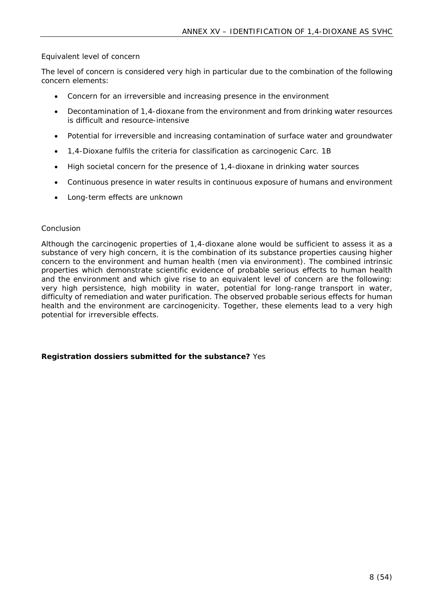#### *Equivalent level of concern*

The level of concern is considered very high in particular due to the combination of the following concern elements:

- Concern for an irreversible and increasing presence in the environment
- Decontamination of 1,4-dioxane from the environment and from drinking water resources is difficult and resource-intensive
- Potential for irreversible and increasing contamination of surface water and groundwater
- 1,4-Dioxane fulfils the criteria for classification as carcinogenic Carc. 1B
- High societal concern for the presence of 1,4-dioxane in drinking water sources
- Continuous presence in water results in continuous exposure of humans and environment
- Long-term effects are unknown

#### *Conclusion*

Although the carcinogenic properties of 1,4-dioxane alone would be sufficient to assess it as a substance of very high concern, it is the combination of its substance properties causing higher concern to the environment and human health (men via environment). The combined intrinsic properties which demonstrate scientific evidence of probable serious effects to human health and the environment and which give rise to an equivalent level of concern are the following: very high persistence, high mobility in water, potential for long-range transport in water, difficulty of remediation and water purification. The observed probable serious effects for human health and the environment are carcinogenicity. Together, these elements lead to a very high potential for irreversible effects.

**Registration dossiers submitted for the substance?** Yes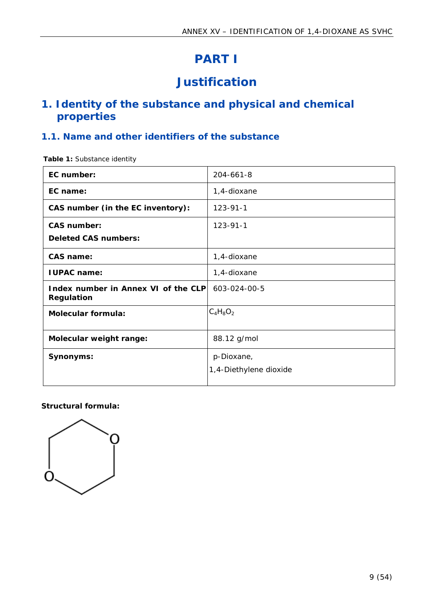# <span id="page-8-0"></span>**PART I**

# <span id="page-8-1"></span>**Justification**

## <span id="page-8-2"></span>**1. Identity of the substance and physical and chemical properties**

## <span id="page-8-3"></span>**1.1. Name and other identifiers of the substance**

<span id="page-8-4"></span>**Table 1:** Substance identity

| EC number:                                        | 204-661-8                            |
|---------------------------------------------------|--------------------------------------|
| EC name:                                          | 1,4-dioxane                          |
| CAS number (in the EC inventory):                 | $123 - 91 - 1$                       |
| CAS number:<br>Deleted CAS numbers:               | $123 - 91 - 1$                       |
| CAS name:                                         | 1,4-dioxane                          |
| I UPAC name:                                      | 1,4-dioxane                          |
| Index number in Annex VI of the CLP<br>Regulation | 603-024-00-5                         |
| Molecular formula:                                | $C_4H_8O_2$                          |
| Molecular weight range:                           | 88.12 g/mol                          |
| Synonyms:                                         | p-Dioxane,<br>1,4-Diethylene dioxide |

**Structural formula:**

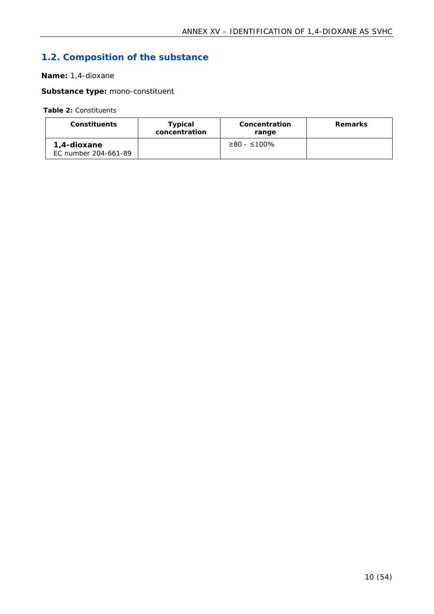# <span id="page-9-0"></span>**1.2. Composition of the substance**

#### **Name:** 1,4-dioxane

**Substance type:** mono-constituent

<span id="page-9-1"></span>**Table 2:** Constituents

| Constituents                        | Typical<br>concentration | Concentration<br>range | Remarks |
|-------------------------------------|--------------------------|------------------------|---------|
| 1.4-dioxane<br>EC number 204-661-89 |                          | $≥80 - ≤100%$          |         |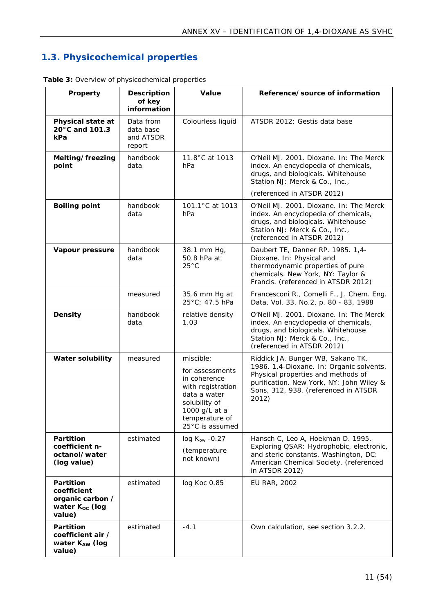## <span id="page-10-0"></span>**1.3. Physicochemical properties**

| Property                                                                             | Description<br>of key<br>information          | Value                                                                                                                                                    | Reference/source of information                                                                                                                                                                                   |
|--------------------------------------------------------------------------------------|-----------------------------------------------|----------------------------------------------------------------------------------------------------------------------------------------------------------|-------------------------------------------------------------------------------------------------------------------------------------------------------------------------------------------------------------------|
| Physical state at<br>20°C and 101.3<br>kPa                                           | Data from<br>data base<br>and ATSDR<br>report | Colourless liquid                                                                                                                                        | ATSDR 2012; Gestis data base                                                                                                                                                                                      |
| Melting/freezing<br>point                                                            | handbook<br>data                              | 11.8°C at 1013<br>hPa                                                                                                                                    | O'Neil MJ. 2001. Dioxane. In: The Merck<br>index. An encyclopedia of chemicals,<br>drugs, and biologicals. Whitehouse<br>Station NJ: Merck & Co., Inc.,                                                           |
|                                                                                      |                                               |                                                                                                                                                          | (referenced in ATSDR 2012)                                                                                                                                                                                        |
| Boiling point                                                                        | handbook<br>data                              | 101.1°C at 1013<br>hPa                                                                                                                                   | O'Neil MJ. 2001. Dioxane. In: The Merck<br>index. An encyclopedia of chemicals,<br>drugs, and biologicals. Whitehouse<br>Station NJ: Merck & Co., Inc.,<br>(referenced in ATSDR 2012)                             |
| Vapour pressure                                                                      | handbook<br>data                              | 38.1 mm Hg,<br>50.8 hPa at<br>$25^{\circ}C$                                                                                                              | Daubert TE, Danner RP. 1985. 1,4-<br>Dioxane. In: Physical and<br>thermodynamic properties of pure<br>chemicals. New York, NY: Taylor &<br>Francis. (referenced in ATSDR 2012)                                    |
|                                                                                      | measured                                      | 35.6 mm Hg at<br>25°C; 47.5 hPa                                                                                                                          | Francesconi R., Comelli F., J. Chem. Eng.<br>Data, Vol. 33, No.2, p. 80 - 83, 1988                                                                                                                                |
| Density                                                                              | handbook<br>data                              | relative density<br>1.03                                                                                                                                 | O'Neil MJ. 2001. Dioxane. In: The Merck<br>index. An encyclopedia of chemicals,<br>drugs, and biologicals. Whitehouse<br>Station NJ: Merck & Co., Inc.,<br>(referenced in ATSDR 2012)                             |
| Water solubility                                                                     | measured                                      | miscible;<br>for assessments<br>in coherence<br>with registration<br>data a water<br>solubility of<br>1000 g/L at a<br>temperature of<br>25°C is assumed | Riddick JA, Bunger WB, Sakano TK.<br>1986. 1, 4-Dioxane. In: Organic solvents.<br>Physical properties and methods of<br>purification. New York, NY: John Wiley &<br>Sons, 312, 938. (referenced in ATSDR<br>2012) |
| Partition                                                                            | estimated                                     | $log K_{ow}$ -0.27                                                                                                                                       | Hansch C, Leo A, Hoekman D. 1995.                                                                                                                                                                                 |
| coefficient n-<br>octanol/water<br>(log value)                                       |                                               | (temperature<br>not known)                                                                                                                               | Exploring QSAR: Hydrophobic, electronic,<br>and steric constants. Washington, DC:<br>American Chemical Society. (referenced<br>in ATSDR 2012)                                                                     |
| Partition<br>coefficient<br>organic carbon /<br>water K <sub>oc</sub> (log<br>value) | estimated                                     | log Koc 0.85                                                                                                                                             | <b>EU RAR, 2002</b>                                                                                                                                                                                               |
| Partition<br>coefficient air /<br>water KAw (log<br>value)                           | estimated                                     | $-4.1$                                                                                                                                                   | Own calculation, see section 3.2.2.                                                                                                                                                                               |

<span id="page-10-1"></span>**Table 3:** Overview of physicochemical properties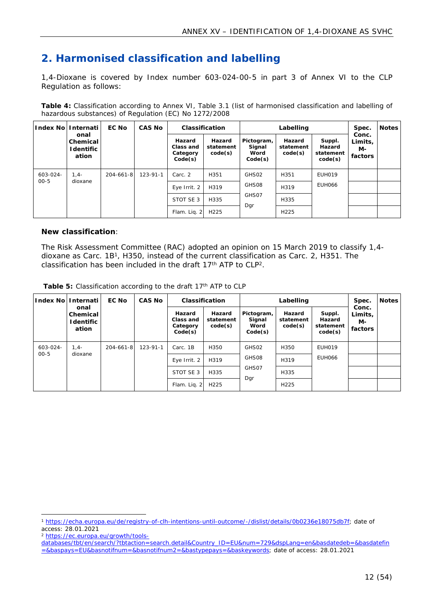## <span id="page-11-0"></span>**2. Harmonised classification and labelling**

1,4-Dioxane is covered by Index number 603-024-00-5 in part 3 of Annex VI to the CLP Regulation as follows:

<span id="page-11-1"></span>**Table 4:** Classification according to Annex VI, Table 3.1 (list of harmonised classification and labelling of hazardous substances) of Regulation (EC) No 1272/2008

| ∣ndex No∣ | Internati                               | EC No           | CAS No         |                                            | Classification                 |                                         | Labelling                      |                                          | Spec.                             | Notes |
|-----------|-----------------------------------------|-----------------|----------------|--------------------------------------------|--------------------------------|-----------------------------------------|--------------------------------|------------------------------------------|-----------------------------------|-------|
|           | onal<br>Chemical<br>I dentific<br>ation |                 |                | Hazard<br>Class and<br>Category<br>Code(s) | Hazard<br>statement<br>code(s) | Pictogram,<br>Signal<br>Word<br>Code(s) | Hazard<br>statement<br>code(s) | Suppl.<br>Hazard<br>statement<br>code(s) | Conc.<br>Limits,<br>M-<br>factors |       |
| 603-024-  | $1.4 -$                                 | $204 - 661 - 8$ | $123 - 91 - 1$ | Carc. 2                                    | H351                           | GHS02                                   | H351                           | EUH019                                   |                                   |       |
| $00 - 5$  | dioxane                                 |                 |                | Eye Irrit. 2                               | H319                           | GHS08                                   | H319                           | EUH066                                   |                                   |       |
|           |                                         |                 |                | STOT SE 3                                  | H335                           | GHS07                                   | H335                           |                                          |                                   |       |
|           |                                         |                 |                | Flam. Liq. $2 $                            | H <sub>225</sub>               | Dgr                                     | H <sub>225</sub>               |                                          |                                   |       |

**New classification**:

The Risk Assessment Committee (RAC) adopted an opinion on 15 March 2019 to classify 1,4 dioxane as Carc. 1B<sup>1</sup>, H350, instead of the current classification as Carc. 2, H351. The classification has been included in the draft 17th ATP to CLP<sup>2</sup>.

<span id="page-11-3"></span><span id="page-11-2"></span>

| Table 5: Classification according to the draft 17 <sup>th</sup> ATP to CLP |  |  |  |
|----------------------------------------------------------------------------|--|--|--|
|                                                                            |  |  |  |

| Index Nol | Internati                               | EC No           | CAS No         | Classification<br>Labelling                                                  |                  |                                         |                                                                            |               |                                   |  |
|-----------|-----------------------------------------|-----------------|----------------|------------------------------------------------------------------------------|------------------|-----------------------------------------|----------------------------------------------------------------------------|---------------|-----------------------------------|--|
|           | onal<br>Chemical<br>I dentific<br>ation |                 |                | Hazard<br>Hazard<br>Class and<br>statement<br>code(s)<br>Category<br>Code(s) |                  | Pictogram,<br>Signal<br>Word<br>Code(s) | Hazard<br>Suppl.<br>Hazard<br>statement<br>code(s)<br>statement<br>code(s) |               | Conc.<br>Limits,<br>M-<br>factors |  |
| 603-024-  | $1.4 -$                                 | $204 - 661 - 8$ | $123 - 91 - 1$ | Carc. 1B                                                                     | H350             | GHS02                                   | H350                                                                       | EUH019        |                                   |  |
| $00 - 5$  | dioxane                                 |                 |                | Eye Irrit. 2                                                                 | H319             | GHS08                                   | H319                                                                       | <b>EUH066</b> |                                   |  |
|           |                                         |                 |                | STOT SE 3                                                                    | H335             | GHS07                                   | H335                                                                       |               |                                   |  |
|           |                                         |                 |                | Flam. Lig. 2                                                                 | H <sub>225</sub> | Dgr                                     | H <sub>225</sub>                                                           |               |                                   |  |

<sup>1</sup> <https://echa.europa.eu/de/registry-of-clh-intentions-until-outcome/-/dislist/details/0b0236e18075db7f>; date of access: 28.01.2021

<sup>2</sup> [https://ec.europa.eu/growth/tools-](https://ec.europa.eu/growth/tools-databases/tbt/en/search/?tbtaction=search.detail&Country_ID=EU&num=729&dspLang=en&basdatedeb=&basdatefin=&baspays=EU&basnotifnum=&basnotifnum2=&bastypepays=&baskeywords)

[databases/tbt/en/search/?tbtaction=search.detail&Country\\_ID=EU&num=729&dspLang=en&basdatedeb=&basdatefin](https://ec.europa.eu/growth/tools-databases/tbt/en/search/?tbtaction=search.detail&Country_ID=EU&num=729&dspLang=en&basdatedeb=&basdatefin=&baspays=EU&basnotifnum=&basnotifnum2=&bastypepays=&baskeywords) [=&baspays=EU&basnotifnum=&basnotifnum2=&bastypepays=&baskeywords](https://ec.europa.eu/growth/tools-databases/tbt/en/search/?tbtaction=search.detail&Country_ID=EU&num=729&dspLang=en&basdatedeb=&basdatefin=&baspays=EU&basnotifnum=&basnotifnum2=&bastypepays=&baskeywords); date of access: 28.01.2021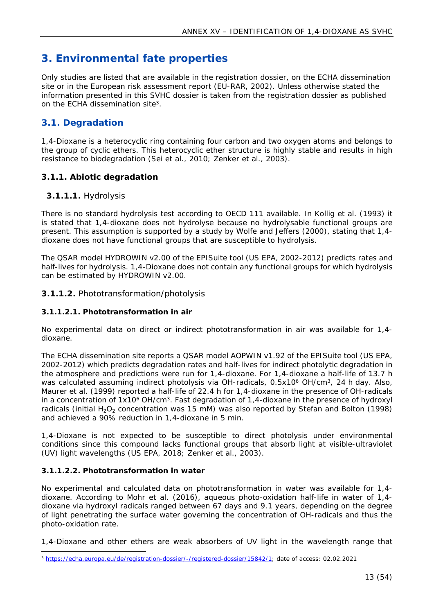## <span id="page-12-0"></span>**3. Environmental fate properties**

Only studies are listed that are available in the registration dossier, on the ECHA dissemination site or in the European risk assessment report (EU-RAR, 2002). Unless otherwise stated the information presented in this SVHC dossier is taken from the registration dossier as published on the ECHA dissemination site<sup>3</sup>.

## <span id="page-12-5"></span><span id="page-12-1"></span>**3.1. Degradation**

1,4-Dioxane is a heterocyclic ring containing four carbon and two oxygen atoms and belongs to the group of cyclic ethers. This heterocyclic ether structure is highly stable and results in high resistance to biodegradation (Sei et al., 2010; Zenker et al., 2003).

## <span id="page-12-2"></span>**3.1.1. Abiotic degradation**

## **3.1.1.1.** Hydrolysis

There is no standard hydrolysis test according to OECD 111 available. In Kollig et al. (1993) it is stated that 1,4-dioxane does not hydrolyse because no hydrolysable functional groups are present. This assumption is supported by a study by Wolfe and Jeffers (2000), stating that 1,4 dioxane does not have functional groups that are susceptible to hydrolysis.

The QSAR model HYDROWIN v2.00 of the EPISuite tool (US EPA, 2002-2012) predicts rates and half-lives for hydrolysis. 1,4-Dioxane does not contain any functional groups for which hydrolysis can be estimated by HYDROWIN v2.00.

#### **3.1.1.2.** Phototransformation/photolysis

#### <span id="page-12-4"></span>**3.1.1.2.1. Phototransformation in air**

No experimental data on direct or indirect phototransformation in air was available for 1,4 dioxane.

The ECHA dissemination site reports a QSAR model AOPWIN v1.92 of the EPISuite tool (US EPA, 2002-2012) which predicts degradation rates and half-lives for indirect photolytic degradation in the atmosphere and predictions were run for 1,4-dioxane. For 1,4-dioxane a half-life of 13.7 h was calculated assuming indirect photolysis via OH-radicals, 0.5x10<sup>6</sup> OH/cm<sup>3</sup>, 24 h day. Also, Maurer et al. (1999) reported a half-life of 22.4 h for 1,4-dioxane in the presence of OH-radicals in a concentration of  $1x10<sup>6</sup>$  OH/cm<sup>3</sup>. Fast degradation of  $1,4$ -dioxane in the presence of hydroxyl radicals (initial  $H_2O_2$  concentration was 15 mM) was also reported by Stefan and Bolton (1998) and achieved a 90% reduction in 1,4-dioxane in 5 min.

1,4-Dioxane is not expected to be susceptible to direct photolysis under environmental conditions since this compound lacks functional groups that absorb light at visible-ultraviolet (UV) light wavelengths (US EPA, 2018; Zenker et al., 2003).

#### <span id="page-12-3"></span>**3.1.1.2.2. Phototransformation in water**

No experimental and calculated data on phototransformation in water was available for 1,4 dioxane. According to Mohr et al. (2016), aqueous photo-oxidation half-life in water of 1,4 dioxane via hydroxyl radicals ranged between 67 days and 9.1 years, depending on the degree of light penetrating the surface water governing the concentration of OH-radicals and thus the photo-oxidation rate.

1,4-Dioxane and other ethers are weak absorbers of UV light in the wavelength range that

<sup>3</sup> <https://echa.europa.eu/de/registration-dossier/-/registered-dossier/15842/1>; date of access: 02.02.2021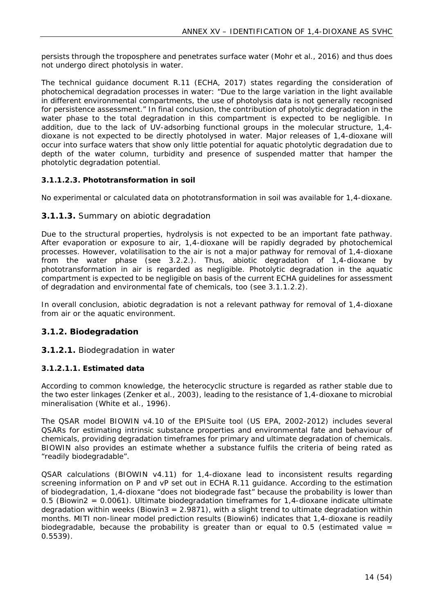persists through the troposphere and penetrates surface water (Mohr et al., 2016) and thus does not undergo direct photolysis in water.

The technical guidance document R.11 (ECHA, 2017) states regarding the consideration of photochemical degradation processes in water: *"Due to the large variation in the light available in different environmental compartments, the use of photolysis data is not generally recognised for persistence assessment."* In final conclusion, the contribution of photolytic degradation in the water phase to the total degradation in this compartment is expected to be negligible. In addition, due to the lack of UV-adsorbing functional groups in the molecular structure, 1,4 dioxane is not expected to be directly photolysed in water. Major releases of 1,4-dioxane will occur into surface waters that show only little potential for aquatic photolytic degradation due to depth of the water column, turbidity and presence of suspended matter that hamper the photolytic degradation potential.

#### **3.1.1.2.3. Phototransformation in soil**

No experimental or calculated data on phototransformation in soil was available for 1,4-dioxane.

#### **3.1.1.3.** Summary on abiotic degradation

Due to the structural properties, hydrolysis is not expected to be an important fate pathway. After evaporation or exposure to air, 1,4-dioxane will be rapidly degraded by photochemical processes. However, volatilisation to the air is not a major pathway for removal of 1,4-dioxane from the water phase (see 3.2.2.). Thus, abiotic degradation of 1,4-dioxane by phototransformation in air is regarded as negligible. Photolytic degradation in the aquatic compartment is expected to be negligible on basis of the current ECHA guidelines for assessment of degradation and environmental fate of chemicals, too (see [3.1.1.2.2\)](#page-12-3).

In overall conclusion, abiotic degradation is not a relevant pathway for removal of 1,4-dioxane from air or the aquatic environment.

#### <span id="page-13-0"></span>**3.1.2. Biodegradation**

#### **3.1.2.1.** Biodegradation in water

#### **3.1.2.1.1. Estimated data**

According to common knowledge, the heterocyclic structure is regarded as rather stable due to the two ester linkages (Zenker et al., 2003), leading to the resistance of 1,4-dioxane to microbial mineralisation (White et al., 1996).

The QSAR model BIOWIN v4.10 of the EPISuite tool (US EPA, 2002-2012) includes several QSARs for estimating intrinsic substance properties and environmental fate and behaviour of chemicals, providing degradation timeframes for primary and ultimate degradation of chemicals. BIOWIN also provides an estimate whether a substance fulfils the criteria of being rated as "readily biodegradable".

QSAR calculations (BIOWIN v4.11) for 1,4-dioxane lead to inconsistent results regarding screening information on P and vP set out in ECHA R.11 guidance. According to the estimation of biodegradation, 1,4-dioxane "does not biodegrade fast" because the probability is lower than 0.5 (Biowin2 = 0.0061). Ultimate biodegradation timeframes for 1,4-dioxane indicate ultimate degradation within weeks (Biowin3 =  $2.9871$ ), with a slight trend to ultimate degradation within months. MITI non-linear model prediction results (Biowin6) indicates that 1,4-dioxane is readily biodegradable, because the probability is greater than or equal to 0.5 (estimated value  $=$ 0.5539).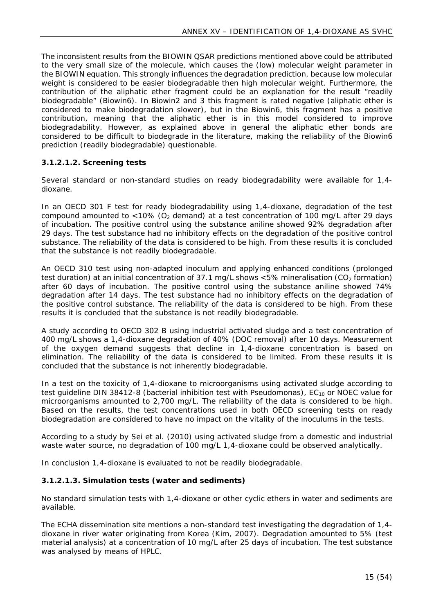The inconsistent results from the BIOWIN QSAR predictions mentioned above could be attributed to the very small size of the molecule, which causes the (low) molecular weight parameter in the BIOWIN equation. This strongly influences the degradation prediction, because low molecular weight is considered to be easier biodegradable then high molecular weight. Furthermore, the contribution of the aliphatic ether fragment could be an explanation for the result "readily biodegradable" (Biowin6). In Biowin2 and 3 this fragment is rated negative (aliphatic ether is considered to make biodegradation slower), but in the Biowin6, this fragment has a positive contribution, meaning that the aliphatic ether is in this model considered to improve biodegradability. However, as explained above in general the aliphatic ether bonds are considered to be difficult to biodegrade in the literature, making the reliability of the Biowin6 prediction (readily biodegradable) questionable.

#### **3.1.2.1.2. Screening tests**

Several standard or non-standard studies on ready biodegradability were available for 1,4 dioxane.

In an OECD 301 F test for ready biodegradability using 1,4-dioxane, degradation of the test compound amounted to  $<$ 10% (O<sub>2</sub> demand) at a test concentration of 100 mg/L after 29 days of incubation. The positive control using the substance aniline showed 92% degradation after 29 days. The test substance had no inhibitory effects on the degradation of the positive control substance. The reliability of the data is considered to be high. From these results it is concluded that the substance is not readily biodegradable.

An OECD 310 test using non-adapted inoculum and applying enhanced conditions (prolonged test duration) at an initial concentration of 37.1 mg/L shows  $<5\%$  mineralisation (CO<sub>2</sub> formation) after 60 days of incubation. The positive control using the substance aniline showed 74% degradation after 14 days. The test substance had no inhibitory effects on the degradation of the positive control substance. The reliability of the data is considered to be high. From these results it is concluded that the substance is not readily biodegradable.

A study according to OECD 302 B using industrial activated sludge and a test concentration of 400 mg/L shows a 1,4-dioxane degradation of 40% (DOC removal) after 10 days. Measurement of the oxygen demand suggests that decline in 1,4-dioxane concentration is based on elimination. The reliability of the data is considered to be limited. From these results it is concluded that the substance is not inherently biodegradable.

In a test on the toxicity of 1,4-dioxane to microorganisms using activated sludge according to test guideline DIN 38412-8 (bacterial inhibition test with *Pseudomonas*), EC<sub>10</sub> or NOEC value for microorganisms amounted to 2,700 mg/L. The reliability of the data is considered to be high. Based on the results, the test concentrations used in both OECD screening tests on ready biodegradation are considered to have no impact on the vitality of the inoculums in the tests.

According to a study by Sei et al. (2010) using activated sludge from a domestic and industrial waste water source, no degradation of 100 mg/L 1,4-dioxane could be observed analytically.

In conclusion 1,4-dioxane is evaluated to not be readily biodegradable.

#### <span id="page-14-0"></span>**3.1.2.1.3. Simulation tests (water and sediments)**

No standard simulation tests with 1,4-dioxane or other cyclic ethers in water and sediments are available.

The ECHA dissemination site mentions a non-standard test investigating the degradation of 1,4 dioxane in river water originating from Korea (Kim, 2007). Degradation amounted to 5% (test material analysis) at a concentration of 10 mg/L after 25 days of incubation. The test substance was analysed by means of HPLC.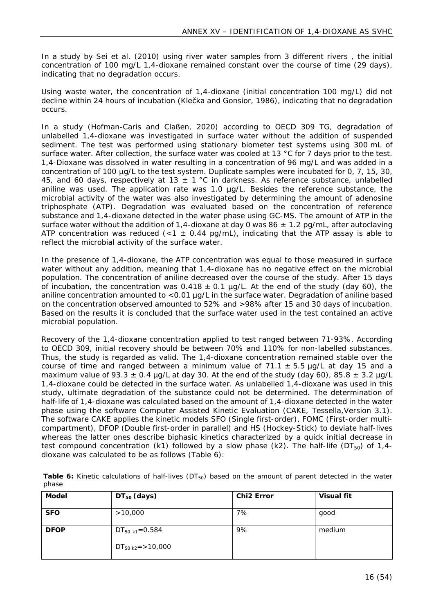In a study by Sei et al. (2010) using river water samples from 3 different rivers , the initial concentration of 100 mg/L 1,4-dioxane remained constant over the course of time (29 days), indicating that no degradation occurs.

Using waste water, the concentration of 1,4-dioxane (initial concentration 100 mg/L) did not decline within 24 hours of incubation (Klečka and Gonsior, 1986), indicating that no degradation occurs.

In a study (Hofman-Caris and Claßen, 2020) according to OECD 309 TG, degradation of unlabelled 1,4-dioxane was investigated in surface water without the addition of suspended sediment. The test was performed using stationary biometer test systems using 300 mL of surface water. After collection, the surface water was cooled at 13 °C for 7 days prior to the test. 1,4-Dioxane was dissolved in water resulting in a concentration of 96 mg/L and was added in a concentration of 100 µg/L to the test system. Duplicate samples were incubated for 0, 7, 15, 30, 45, and 60 days, respectively at 13  $\pm$  1 °C in darkness. As reference substance, unlabelled aniline was used. The application rate was 1.0 µg/L. Besides the reference substance, the microbial activity of the water was also investigated by determining the amount of adenosine triphosphate (ATP). Degradation was evaluated based on the concentration of reference substance and 1,4-dioxane detected in the water phase using GC-MS. The amount of ATP in the surface water without the addition of 1,4-dioxane at day 0 was 86  $\pm$  1.2 pg/mL, after autoclaving ATP concentration was reduced (<1  $\pm$  0.44 pg/mL), indicating that the ATP assay is able to reflect the microbial activity of the surface water.

In the presence of 1,4-dioxane, the ATP concentration was equal to those measured in surface water without any addition, meaning that 1,4-dioxane has no negative effect on the microbial population. The concentration of aniline decreased over the course of the study. After 15 days of incubation, the concentration was  $0.418 \pm 0.1$  µg/L. At the end of the study (day 60), the aniline concentration amounted to <0.01 µg/L in the surface water. Degradation of aniline based on the concentration observed amounted to 52% and >98% after 15 and 30 days of incubation. Based on the results it is concluded that the surface water used in the test contained an active microbial population.

Recovery of the 1,4-dioxane concentration applied to test ranged between 71-93%. According to OECD 309, initial recovery should be between 70% and 110% for non-labelled substances. Thus, the study is regarded as valid. The 1,4-dioxane concentration remained stable over the course of time and ranged between a minimum value of  $71.1 \pm 5.5$  ug/L at day 15 and a maximum value of 93.3  $\pm$  0.4 µg/L at day 30. At the end of the study (day 60), 85.8  $\pm$  3.2 µg/L 1,4-dioxane could be detected in the surface water. As unlabelled 1,4-dioxane was used in this study, ultimate degradation of the substance could not be determined. The determination of half-life of 1,4-dioxane was calculated based on the amount of 1,4-dioxane detected in the water phase using the software Computer Assisted Kinetic Evaluation (CAKE, Tessella,Version 3.1). The software CAKE applies the kinetic models SFO (Single first-order), FOMC (First-order multicompartment), DFOP (Double first-order in parallel) and HS (Hockey-Stick) to deviate half-lives whereas the latter ones describe biphasic kinetics characterized by a quick initial decrease in test compound concentration (k1) followed by a slow phase (k2). The half-life ( $DT_{50}$ ) of 1.4dioxane was calculated to be as follows (Table 6):

<span id="page-15-0"></span>

| Table 6: Kinetic calculations of half-lives ( $DT_{50}$ ) based on the amount of parent detected in the water |  |  |  |  |  |  |  |
|---------------------------------------------------------------------------------------------------------------|--|--|--|--|--|--|--|
| phase                                                                                                         |  |  |  |  |  |  |  |

| Model       | $DT_{50}$ (days)           | Chi <sub>2</sub> Error | Visual fit |
|-------------|----------------------------|------------------------|------------|
| <b>SFO</b>  | >10,000                    | 7%                     | good       |
| <b>DFOP</b> | DT <sub>50 k1</sub> =0.584 | 9%                     | medium     |
|             | $DT_{50 k2}$ = > 10,000    |                        |            |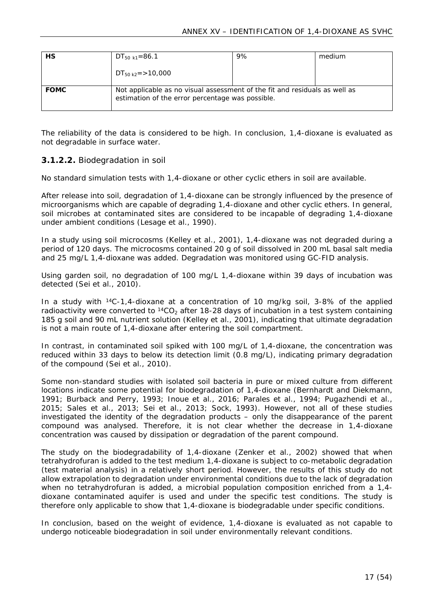| НS          | $DT_{50 k1} = 86.1$                                                                                                            | 9% | medium |
|-------------|--------------------------------------------------------------------------------------------------------------------------------|----|--------|
|             | $DT_{50 k2}$ = > 10,000                                                                                                        |    |        |
| <b>FOMC</b> | Not applicable as no visual assessment of the fit and residuals as well as<br>estimation of the error percentage was possible. |    |        |

The reliability of the data is considered to be high. In conclusion, 1,4-dioxane is evaluated as not degradable in surface water.

#### **3.1.2.2.** Biodegradation in soil

No standard simulation tests with 1,4-dioxane or other cyclic ethers in soil are available.

After release into soil, degradation of 1,4-dioxane can be strongly influenced by the presence of microorganisms which are capable of degrading 1,4-dioxane and other cyclic ethers. In general, soil microbes at contaminated sites are considered to be incapable of degrading 1,4-dioxane under ambient conditions (Lesage et al., 1990).

In a study using soil microcosms (Kelley et al., 2001), 1,4-dioxane was not degraded during a period of 120 days. The microcosms contained 20 g of soil dissolved in 200 mL basal salt media and 25 mg/L 1,4-dioxane was added. Degradation was monitored using GC-FID analysis.

Using garden soil, no degradation of 100 mg/L 1,4-dioxane within 39 days of incubation was detected (Sei et al., 2010).

In a study with <sup>14</sup>C-1,4-dioxane at a concentration of 10 mg/kg soil, 3-8% of the applied radioactivity were converted to  ${}^{14}CO_2$  after 18-28 days of incubation in a test system containing 185 g soil and 90 mL nutrient solution (Kelley et al., 2001), indicating that ultimate degradation is not a main route of 1,4-dioxane after entering the soil compartment.

In contrast, in contaminated soil spiked with 100 mg/L of 1,4-dioxane, the concentration was reduced within 33 days to below its detection limit (0.8 mg/L), indicating primary degradation of the compound (Sei et al., 2010).

Some non-standard studies with isolated soil bacteria in pure or mixed culture from different locations indicate some potential for biodegradation of 1,4-dioxane (Bernhardt and Diekmann, 1991; Burback and Perry, 1993; Inoue et al., 2016; Parales et al., 1994; Pugazhendi et al., 2015; Sales et al., 2013; Sei et al., 2013; Sock, 1993). However, not all of these studies investigated the identity of the degradation products – only the disappearance of the parent compound was analysed. Therefore, it is not clear whether the decrease in 1,4-dioxane concentration was caused by dissipation or degradation of the parent compound.

The study on the biodegradability of 1,4-dioxane (Zenker et al., 2002) showed that when tetrahydrofuran is added to the test medium 1,4-dioxane is subject to co-metabolic degradation (test material analysis) in a relatively short period. However, the results of this study do not allow extrapolation to degradation under environmental conditions due to the lack of degradation when no tetrahydrofuran is added, a microbial population composition enriched from a 1,4 dioxane contaminated aquifer is used and under the specific test conditions. The study is therefore only applicable to show that 1,4-dioxane is biodegradable under specific conditions.

In conclusion, based on the weight of evidence, 1,4-dioxane is evaluated as not capable to undergo noticeable biodegradation in soil under environmentally relevant conditions.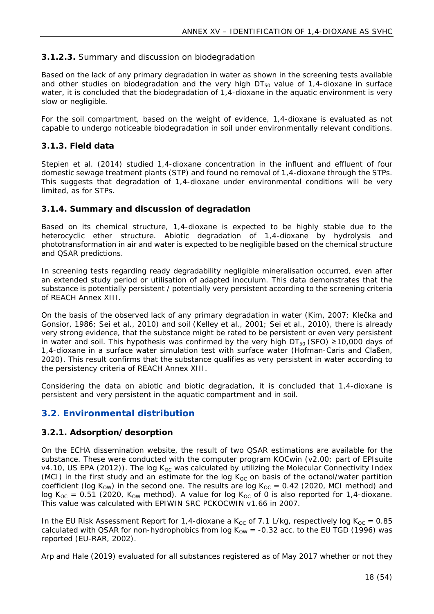## **3.1.2.3.** Summary and discussion on biodegradation

Based on the lack of any primary degradation in water as shown in the screening tests available and other studies on biodegradation and the very high  $DT_{50}$  value of 1,4-dioxane in surface water, it is concluded that the biodegradation of 1,4-dioxane in the aquatic environment is very slow or negligible.

For the soil compartment, based on the weight of evidence, 1,4-dioxane is evaluated as not capable to undergo noticeable biodegradation in soil under environmentally relevant conditions.

#### <span id="page-17-0"></span>**3.1.3. Field data**

Stepien et al. (2014) studied 1,4-dioxane concentration in the influent and effluent of four domestic sewage treatment plants (STP) and found no removal of 1,4-dioxane through the STPs. This suggests that degradation of 1,4-dioxane under environmental conditions will be very limited, as for STPs.

## <span id="page-17-1"></span>**3.1.4. Summary and discussion of degradation**

Based on its chemical structure, 1,4-dioxane is expected to be highly stable due to the heterocyclic ether structure. Abiotic degradation of 1,4-dioxane by hydrolysis and phototransformation in air and water is expected to be negligible based on the chemical structure and QSAR predictions.

In screening tests regarding ready degradability negligible mineralisation occurred, even after an extended study period or utilisation of adapted inoculum. This data demonstrates that the substance is potentially persistent / potentially very persistent according to the screening criteria of REACH Annex XIII.

On the basis of the observed lack of any primary degradation in water (Kim, 2007; Klečka and Gonsior, 1986; Sei et al., 2010) and soil (Kelley et al., 2001; Sei et al., 2010), there is already very strong evidence, that the substance might be rated to be persistent or even very persistent in water and soil. This hypothesis was confirmed by the very high  $DT_{50}$  (SFO)  $\geq 10,000$  days of 1,4-dioxane in a surface water simulation test with surface water (Hofman-Caris and Claßen, 2020). This result confirms that the substance qualifies as very persistent in water according to the persistency criteria of REACH Annex XIII.

Considering the data on abiotic and biotic degradation, it is concluded that 1,4-dioxane is persistent and very persistent in the aquatic compartment and in soil.

## <span id="page-17-2"></span>**3.2. Environmental distribution**

#### <span id="page-17-3"></span>**3.2.1. Adsorption/desorption**

On the ECHA dissemination website, the result of two QSAR estimations are available for the substance. These were conducted with the computer program KOCwin (v2.00; part of EPIsuite v4.10, US EPA (2012)). The log  $K_{OC}$  was calculated by utilizing the Molecular Connectivity Index (MCI) in the first study and an estimate for the log  $K_{OC}$  on basis of the octanol/water partition coefficient (log K<sub>OW</sub>) in the second one. The results are log K<sub>OC</sub> = 0.42 (2020, MCI method) and log K<sub>oC</sub> = 0.51 (2020, K<sub>ow</sub> method). A value for log K<sub>oC</sub> of 0 is also reported for 1,4-dioxane. This value was calculated with EPIWIN SRC PCKOCWIN v1.66 in 2007.

In the EU Risk Assessment Report for 1,4-dioxane a K<sub>oc</sub> of 7.1 L/kg, respectively log K<sub>oc</sub> = 0.85 calculated with QSAR for non-hydrophobics from log  $K_{OW} = -0.32$  acc. to the EU TGD (1996) was reported (EU-RAR, 2002).

Arp and Hale (2019) evaluated for all substances registered as of May 2017 whether or not they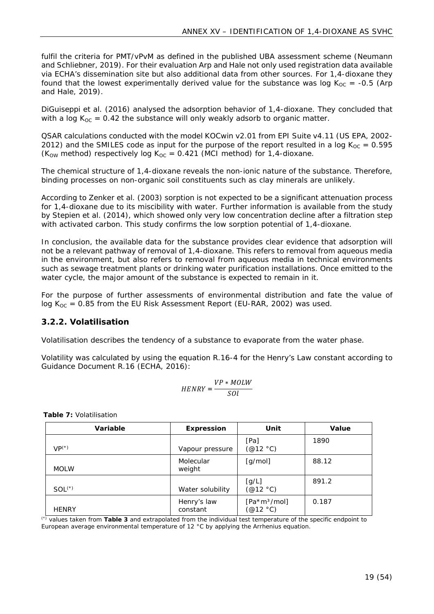fulfil the criteria for PMT/vPvM as defined in the published UBA assessment scheme (Neumann and Schliebner, 2019). For their evaluation Arp and Hale not only used registration data available via ECHA's dissemination site but also additional data from other sources. For 1,4-dioxane they found that the lowest experimentally derived value for the substance was log  $K_{OC} = -0.5$  (Arp and Hale, 2019).

DiGuiseppi et al. (2016) analysed the adsorption behavior of 1,4-dioxane. They concluded that with a log  $K_{OC} = 0.42$  the substance will only weakly adsorb to organic matter.

QSAR calculations conducted with the model KOCwin v2.01 from EPI Suite v4.11 (US EPA, 2002- 2012) and the SMILES code as input for the purpose of the report resulted in a log  $K_{OC} = 0.595$ (K<sub>OW</sub> method) respectively log K<sub>OC</sub> = 0.421 (MCI method) for 1,4-dioxane.

The chemical structure of 1,4-dioxane reveals the non-ionic nature of the substance. Therefore, binding processes on non-organic soil constituents such as clay minerals are unlikely.

According to Zenker et al. (2003) sorption is not expected to be a significant attenuation process for 1,4-dioxane due to its miscibility with water. Further information is available from the study by Stepien et al. (2014), which showed only very low concentration decline after a filtration step with activated carbon. This study confirms the low sorption potential of 1,4-dioxane.

In conclusion, the available data for the substance provides clear evidence that adsorption will not be a relevant pathway of removal of 1,4-dioxane. This refers to removal from aqueous media in the environment, but also refers to removal from aqueous media in technical environments such as sewage treatment plants or drinking water purification installations. Once emitted to the water cycle, the major amount of the substance is expected to remain in it.

For the purpose of further assessments of environmental distribution and fate the value of log  $K_{OC} = 0.85$  from the EU Risk Assessment Report (EU-RAR, 2002) was used.

## <span id="page-18-0"></span>**3.2.2. Volatilisation**

Volatilisation describes the tendency of a substance to evaporate from the water phase.

Volatility was calculated by using the equation R.16-4 for the Henry's Law constant according to Guidance Document R.16 (ECHA, 2016):

$$
HENRY = \frac{VP * MOLW}{SOL}
$$

<span id="page-18-1"></span>**Table 7:** Volatilisation

| Variable     | Expression              | Unit                                                           | Value |
|--------------|-------------------------|----------------------------------------------------------------|-------|
| $VP(*)$      | Vapour pressure         | [Pa]<br>(@12 °C)                                               | 1890  |
| <b>MOLW</b>  | Molecular<br>weight     | [g/mol]                                                        | 88.12 |
| $SOL(*)$     | Water solubility        | [g/L]<br>$(\text{\textcircled{a}}12 \text{ }^{\circ}C)$        | 891.2 |
| <b>HENRY</b> | Henry's law<br>constant | $[Pa*3/mol]$<br>$(\text{\textcircled{a}}12 \text{ }^{\circ}C)$ | 0.187 |

(\*) values taken from **[Table 3](#page-10-1)** and extrapolated from the individual test temperature of the specific endpoint to European average environmental temperature of 12 °C by applying the Arrhenius equation.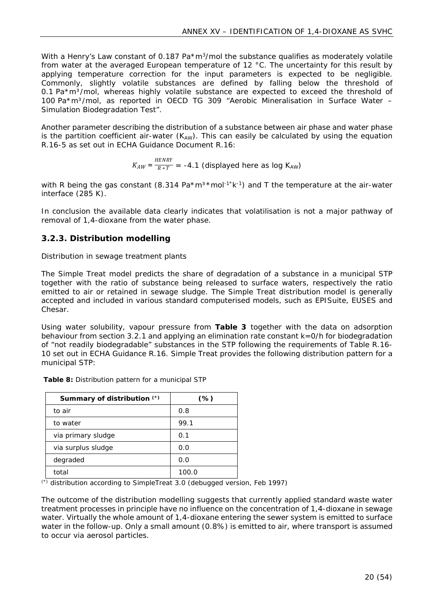With a Henry's Law constant of 0.187 Pa $*$ m<sup>3</sup>/mol the substance qualifies as moderately volatile from water at the averaged European temperature of 12 °C. The uncertainty for this result by applying temperature correction for the input parameters is expected to be negligible. Commonly, slightly volatile substances are defined by falling below the threshold of 0.1 Pa\*m<sup>3</sup>/mol, whereas highly volatile substance are expected to exceed the threshold of 100 Pa\*m³/mol, as reported in OECD TG 309 "Aerobic Mineralisation in Surface Water – Simulation Biodegradation Test".

Another parameter describing the distribution of a substance between air phase and water phase is the partition coefficient air-water  $(K_{AW})$ . This can easily be calculated by using the equation R.16-5 as set out in ECHA Guidance Document R.16:

$$
K_{AW} = \frac{HENRY}{R*T} = -4.1
$$
 (displayed here as log K<sub>AW</sub>)

with R being the gas constant (8.314 Pa\*m<sup>3\*</sup>mol<sup>-1\*</sup>k<sup>-1</sup>) and T the temperature at the air-water interface (285 K).

In conclusion the available data clearly indicates that volatilisation is not a major pathway of removal of 1,4-dioxane from the water phase.

## <span id="page-19-0"></span>**3.2.3. Distribution modelling**

#### *Distribution in sewage treatment plants*

The Simple Treat model predicts the share of degradation of a substance in a municipal STP together with the ratio of substance being released to surface waters, respectively the ratio emitted to air or retained in sewage sludge. The Simple Treat distribution model is generally accepted and included in various standard computerised models, such as EPISuite, EUSES and Chesar.

Using water solubility, vapour pressure from **[Table 3](#page-10-1)** together with the data on adsorption behaviour from section 3.2.1 and applying an elimination rate constant k=0/h for biodegradation of "not readily biodegradable" substances in the STP following the requirements of Table R.16- 10 set out in ECHA Guidance R.16. Simple Treat provides the following distribution pattern for a municipal STP:

| Summary of distribution $(*)$ | $(\%)$ |
|-------------------------------|--------|
| to air                        | 0.8    |
| to water                      | 99.1   |
| via primary sludge            | 0.1    |
| via surplus sludge            | 0.0    |
| degraded                      | 0.0    |
| total                         | 100.0  |

<span id="page-19-1"></span>**Table 8:** Distribution pattern for a municipal STP

(\*) distribution according to SimpleTreat 3.0 (debugged version, Feb 1997)

The outcome of the distribution modelling suggests that currently applied standard waste water treatment processes in principle have no influence on the concentration of 1,4-dioxane in sewage water. Virtually the whole amount of 1,4-dioxane entering the sewer system is emitted to surface water in the follow-up. Only a small amount (0.8%) is emitted to air, where transport is assumed to occur via aerosol particles.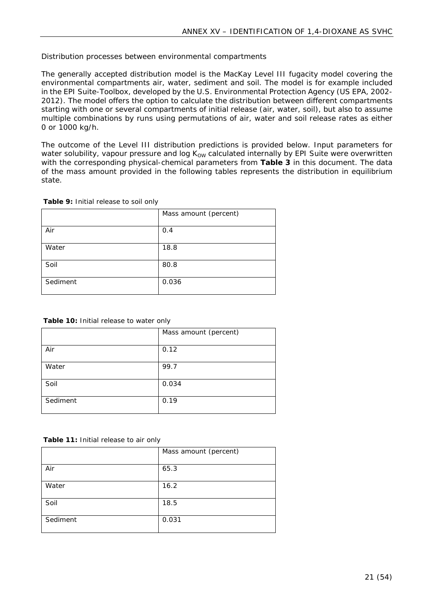#### *Distribution processes between environmental compartments*

The generally accepted distribution model is the MacKay Level III fugacity model covering the environmental compartments air, water, sediment and soil. The model is for example included in the EPI Suite-Toolbox, developed by the U.S. Environmental Protection Agency (US EPA, 2002- 2012). The model offers the option to calculate the distribution between different compartments starting with one or several compartments of initial release (air, water, soil), but also to assume multiple combinations by runs using permutations of air, water and soil release rates as either 0 or 1000 kg/h.

The outcome of the Level III distribution predictions is provided below. Input parameters for water solubility, vapour pressure and log Kow calculated internally by EPI Suite were overwritten with the corresponding physical-chemical parameters from **[Table 3](#page-10-1)** in this document. The data of the mass amount provided in the following tables represents the distribution in equilibrium state.

<span id="page-20-0"></span>**Table 9:** Initial release to soil only

|          | Mass amount (percent) |
|----------|-----------------------|
| Air      | 0.4                   |
| Water    | 18.8                  |
| Soil     | 80.8                  |
| Sediment | 0.036                 |

<span id="page-20-1"></span>**Table 10:** Initial release to water only

|          | Mass amount (percent) |
|----------|-----------------------|
| Air      | 0.12                  |
| Water    | 99.7                  |
| Soil     | 0.034                 |
| Sediment | 0.19                  |

<span id="page-20-2"></span>**Table 11:** Initial release to air only

|          | Mass amount (percent) |
|----------|-----------------------|
| Air      | 65.3                  |
| Water    | 16.2                  |
| Soil     | 18.5                  |
| Sediment | 0.031                 |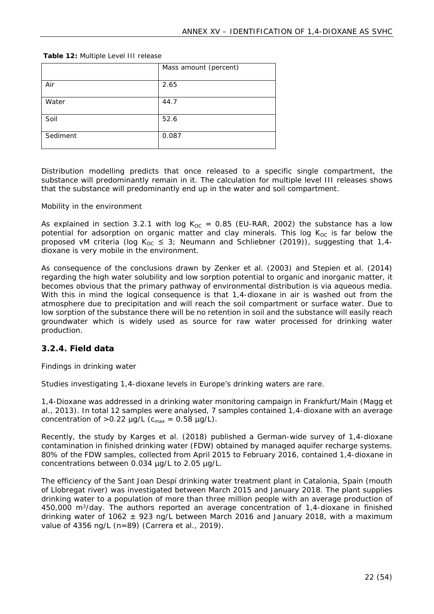<span id="page-21-1"></span>

| Table 12: Multiple Level III release |  |
|--------------------------------------|--|
|--------------------------------------|--|

|          | Mass amount (percent) |
|----------|-----------------------|
| Air      | 2.65                  |
| Water    | 44.7                  |
| Soil     | 52.6                  |
| Sediment | 0.087                 |

Distribution modelling predicts that once released to a specific single compartment, the substance will predominantly remain in it. The calculation for multiple level III releases shows that the substance will predominantly end up in the water and soil compartment.

#### *Mobility in the environment*

As explained in section [3.2.1](#page-17-3) with log K<sub>OC</sub> = 0.85 (EU-RAR, 2002) the substance has a low potential for adsorption on organic matter and clay minerals. This log  $K_{\text{OC}}$  is far below the proposed vM criteria (log K<sub>OC</sub>  $\leq$  3; Neumann and Schliebner (2019)), suggesting that 1,4dioxane is very mobile in the environment.

As consequence of the conclusions drawn by Zenker et al. (2003) and Stepien et al. (2014) regarding the high water solubility and low sorption potential to organic and inorganic matter, it becomes obvious that the primary pathway of environmental distribution is via aqueous media. With this in mind the logical consequence is that 1,4-dioxane in air is washed out from the atmosphere due to precipitation and will reach the soil compartment or surface water. Due to low sorption of the substance there will be no retention in soil and the substance will easily reach groundwater which is widely used as source for raw water processed for drinking water production.

#### <span id="page-21-0"></span>**3.2.4. Field data**

#### *Findings in drinking water*

Studies investigating 1,4-dioxane levels in Europe's drinking waters are rare.

1,4-Dioxane was addressed in a drinking water monitoring campaign in Frankfurt/Main (Magg et al., 2013). In total 12 samples were analysed, 7 samples contained 1,4-dioxane with an average concentration of  $>0.22$  µg/L ( $c_{\text{max}} = 0.58$  µg/L).

Recently, the study by Karges et al. (2018) published a German-wide survey of 1,4-dioxane contamination in finished drinking water (FDW) obtained by managed aquifer recharge systems. 80% of the FDW samples, collected from April 2015 to February 2016, contained 1,4-dioxane in concentrations between 0.034 µg/L to 2.05 µg/L.

The efficiency of the Sant Joan Despí drinking water treatment plant in Catalonia, Spain (mouth of Llobregat river) was investigated between March 2015 and January 2018. The plant supplies drinking water to a population of more than three million people with an average production of 450,000 m<sup>3</sup>/day. The authors reported an average concentration of 1,4-dioxane in finished drinking water of 1062  $\pm$  923 ng/L between March 2016 and January 2018, with a maximum value of 4356 ng/L (n=89) (Carrera et al., 2019).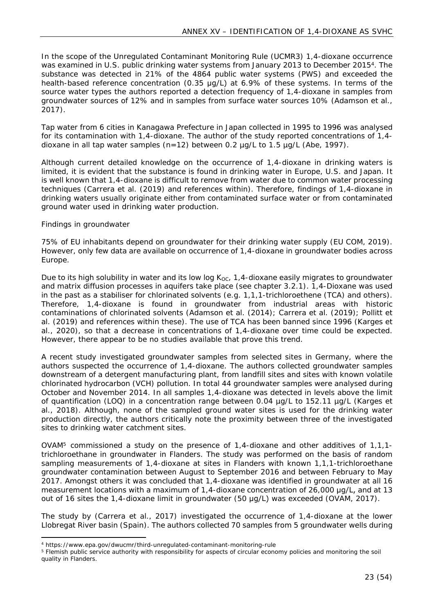In the scope of the Unregulated Contaminant Monitoring Rule (UCMR3) 1,4-dioxane occurrence was examined in U.S. public drinking water systems from January 2013 to December 2015<sup>4</sup>. The substance was detected in 21% of the 4864 public water systems (PWS) and exceeded the health-based reference concentration (0.35 μg/L) at 6.9% of these systems. In terms of the source water types the authors reported a detection frequency of 1,4-dioxane in samples from groundwater sources of 12% and in samples from surface water sources 10% (Adamson et al., 2017).

Tap water from 6 cities in Kanagawa Prefecture in Japan collected in 1995 to 1996 was analysed for its contamination with 1,4-dioxane. The author of the study reported concentrations of 1,4 dioxane in all tap water samples  $(n=12)$  between 0.2  $\mu q/L$  to 1.5  $\mu q/L$  (Abe, 1997).

Although current detailed knowledge on the occurrence of 1,4-dioxane in drinking waters is limited, it is evident that the substance is found in drinking water in Europe, U.S. and Japan. It is well known that 1,4-dioxane is difficult to remove from water due to common water processing techniques (Carrera et al. (2019) and references within). Therefore, findings of 1,4-dioxane in drinking waters usually originate either from contaminated surface water or from contaminated ground water used in drinking water production.

## *Findings in groundwater*

75% of EU inhabitants depend on groundwater for their drinking water supply (EU COM, 2019). However, only few data are available on occurrence of 1,4-dioxane in groundwater bodies across Europe.

Due to its high solubility in water and its low log  $K_{OC}$ , 1,4-dioxane easily migrates to groundwater and matrix diffusion processes in aquifers take place (see chapter 3.2.1). 1,4-Dioxane was used in the past as a stabiliser for chlorinated solvents (e.g. 1,1,1-trichloroethene (TCA) and others). Therefore, 1,4-dioxane is found in groundwater from industrial areas with historic contaminations of chlorinated solvents (Adamson et al. (2014); Carrera et al. (2019); Pollitt et al. (2019) and references within these). The use of TCA has been banned since 1996 (Karges et al., 2020), so that a decrease in concentrations of 1,4-dioxane over time could be expected. However, there appear to be no studies available that prove this trend.

A recent study investigated groundwater samples from selected sites in Germany, where the authors suspected the occurrence of 1,4-dioxane. The authors collected groundwater samples downstream of a detergent manufacturing plant, from landfill sites and sites with known volatile chlorinated hydrocarbon (VCH) pollution. In total 44 groundwater samples were analysed during October and November 2014. In all samples 1,4-dioxane was detected in levels above the limit of quantification (LOQ) in a concentration range between 0.04 µg/L to 152.11 µg/L (Karges et al., 2018). Although, none of the sampled ground water sites is used for the drinking water production directly, the authors critically note the proximity between three of the investigated sites to drinking water catchment sites.

OVAM<sup>5</sup> commissioned a study on the presence of 1,4-dioxane and other additives of 1,1,1trichloroethane in groundwater in Flanders. The study was performed on the basis of random sampling measurements of 1,4-dioxane at sites in Flanders with known 1,1,1-trichloroethane groundwater contamination between August to September 2016 and between February to May 2017. Amongst others it was concluded that 1,4-dioxane was identified in groundwater at all 16 measurement locations with a maximum of 1,4-dioxane concentration of 26,000 μg/L, and at 13 out of 16 sites the 1,4-dioxane limit in groundwater (50 μg/L) was exceeded (OVAM, 2017).

The study by (Carrera et al., 2017) investigated the occurrence of 1,4-dioxane at the lower Llobregat River basin (Spain). The authors collected 70 samples from 5 groundwater wells during

<sup>4</sup> https://www.epa.gov/dwucmr/third-unregulated-contaminant-monitoring-rule

<sup>&</sup>lt;sup>5</sup> Flemish public service authority with responsibility for aspects of circular economy policies and monitoring the soil quality in Flanders.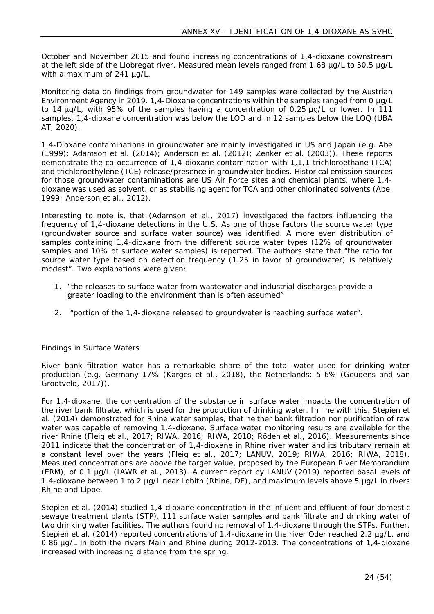October and November 2015 and found increasing concentrations of 1,4-dioxane downstream at the left side of the Llobregat river. Measured mean levels ranged from 1.68 µg/L to 50.5 µg/L with a maximum of 241 ug/L.

Monitoring data on findings from groundwater for 149 samples were collected by the Austrian Environment Agency in 2019. 1,4-Dioxane concentrations within the samples ranged from 0 µg/L to 14 µg/L, with 95% of the samples having a concentration of 0.25 µg/L or lower. In 111 samples, 1,4-dioxane concentration was below the LOD and in 12 samples below the LOQ (UBA AT, 2020).

1,4-Dioxane contaminations in groundwater are mainly investigated in US and Japan (e.g. Abe (1999); Adamson et al. (2014); Anderson et al. (2012); Zenker et al. (2003)). These reports demonstrate the co-occurrence of 1,4-dioxane contamination with 1,1,1-trichloroethane (TCA) and trichloroethylene (TCE) release/presence in groundwater bodies. Historical emission sources for those groundwater contaminations are US Air Force sites and chemical plants, where 1,4 dioxane was used as solvent, or as stabilising agent for TCA and other chlorinated solvents (Abe, 1999; Anderson et al., 2012).

Interesting to note is, that (Adamson et al., 2017) investigated the factors influencing the frequency of 1,4-dioxane detections in the U.S. As one of those factors the source water type (groundwater source and surface water source) was identified. A more even distribution of samples containing 1,4-dioxane from the different source water types (12% of groundwater samples and 10% of surface water samples) is reported. The authors state that "*the ratio for source water type based on detection frequency (1.25 in favor of groundwater) is relatively modest*". Two explanations were given:

- *1.* "*the releases to surface water from wastewater and industrial discharges provide a greater loading to the environment than is often assumed"*
- 2. *"portion of the 1,4-dioxane released to groundwater is reaching surface water*".

#### *Findings in Surface Waters*

River bank filtration water has a remarkable share of the total water used for drinking water production (e.g. Germany 17% (Karges et al., 2018), the Netherlands: 5-6% (Geudens and van Grootveld, 2017)).

For 1,4-dioxane, the concentration of the substance in surface water impacts the concentration of the river bank filtrate, which is used for the production of drinking water. In line with this, Stepien et al. (2014) demonstrated for Rhine water samples, that neither bank filtration nor purification of raw water was capable of removing 1,4-dioxane. Surface water monitoring results are available for the river Rhine (Fleig et al., 2017; RIWA, 2016; RIWA, 2018; Röden et al., 2016). Measurements since 2011 indicate that the concentration of 1,4-dioxane in Rhine river water and its tributary remain at a constant level over the years (Fleig et al., 2017; LANUV, 2019; RIWA, 2016; RIWA, 2018). Measured concentrations are above the target value, proposed by the European River Memorandum (ERM), of 0.1 µg/L (IAWR et al., 2013). A current report by LANUV (2019) reported basal levels of 1,4-dioxane between 1 to 2 µg/L near Lobith (Rhine, DE), and maximum levels above 5 µg/L in rivers Rhine and Lippe.

Stepien et al. (2014) studied 1,4-dioxane concentration in the influent and effluent of four domestic sewage treatment plants (STP), 111 surface water samples and bank filtrate and drinking water of two drinking water facilities. The authors found no removal of 1,4-dioxane through the STPs. Further, Stepien et al. (2014) reported concentrations of 1,4-dioxane in the river Oder reached 2.2 µg/L, and 0.86 µg/L in both the rivers Main and Rhine during 2012-2013. The concentrations of 1,4-dioxane increased with increasing distance from the spring.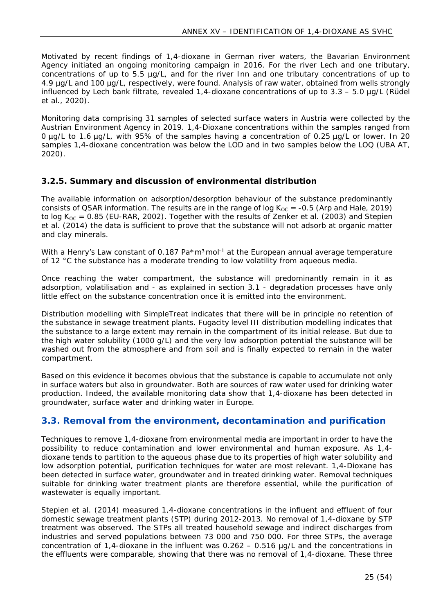Motivated by recent findings of 1,4-dioxane in German river waters, the Bavarian Environment Agency initiated an ongoing monitoring campaign in 2016. For the river Lech and one tributary, concentrations of up to 5.5 µg/L, and for the river Inn and one tributary concentrations of up to 4.9 µg/L and 100 µg/L, respectively, were found. Analysis of raw water, obtained from wells strongly influenced by Lech bank filtrate, revealed 1,4-dioxane concentrations of up to 3.3 – 5.0 µg/L (Rüdel et al., 2020).

Monitoring data comprising 31 samples of selected surface waters in Austria were collected by the Austrian Environment Agency in 2019. 1,4-Dioxane concentrations within the samples ranged from 0 µg/L to 1.6 µg/L, with 95% of the samples having a concentration of 0.25 µg/L or lower. In 20 samples 1,4-dioxane concentration was below the LOD and in two samples below the LOQ (UBA AT, 2020).

## <span id="page-24-0"></span>**3.2.5. Summary and discussion of environmental distribution**

The available information on adsorption/desorption behaviour of the substance predominantly consists of QSAR information. The results are in the range of log  $K_{OC} = -0.5$  (Arp and Hale, 2019) to log  $K_{OC} = 0.85$  (EU-RAR, 2002). Together with the results of Zenker et al. (2003) and Stepien et al. (2014) the data is sufficient to prove that the substance will not adsorb at organic matter and clay minerals.

With a Henry's Law constant of 0.187 Pa $*$ m<sup>3</sup>mol<sup>-1</sup> at the European annual average temperature of 12 °C the substance has a moderate trending to low volatility from aqueous media.

Once reaching the water compartment, the substance will predominantly remain in it as adsorption, volatilisation and - as explained in section [3.1](#page-12-1) - degradation processes have only little effect on the substance concentration once it is emitted into the environment.

Distribution modelling with SimpleTreat indicates that there will be in principle no retention of the substance in sewage treatment plants. Fugacity level III distribution modelling indicates that the substance to a large extent may remain in the compartment of its initial release. But due to the high water solubility (1000 g/L) and the very low adsorption potential the substance will be washed out from the atmosphere and from soil and is finally expected to remain in the water compartment.

Based on this evidence it becomes obvious that the substance is capable to accumulate not only in surface waters but also in groundwater. Both are sources of raw water used for drinking water production. Indeed, the available monitoring data show that 1,4-dioxane has been detected in groundwater, surface water and drinking water in Europe.

## <span id="page-24-1"></span>**3.3. Removal from the environment, decontamination and purification**

Techniques to remove 1,4-dioxane from environmental media are important in order to have the possibility to reduce contamination and lower environmental and human exposure. As 1,4 dioxane tends to partition to the aqueous phase due to its properties of high water solubility and low adsorption potential, purification techniques for water are most relevant. 1,4-Dioxane has been detected in surface water, groundwater and in treated drinking water. Removal techniques suitable for drinking water treatment plants are therefore essential, while the purification of wastewater is equally important.

Stepien et al. (2014) measured 1,4-dioxane concentrations in the influent and effluent of four domestic sewage treatment plants (STP) during 2012-2013. No removal of 1,4-dioxane by STP treatment was observed. The STPs all treated household sewage and indirect discharges from industries and served populations between 73 000 and 750 000. For three STPs, the average concentration of 1,4-dioxane in the influent was 0.262 – 0.516 µg/L and the concentrations in the effluents were comparable, showing that there was no removal of 1,4-dioxane. These three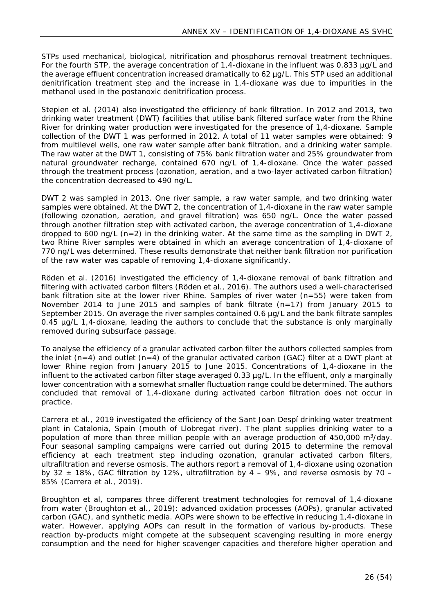STPs used mechanical, biological, nitrification and phosphorus removal treatment techniques. For the fourth STP, the average concentration of 1,4-dioxane in the influent was 0.833 µg/L and the average effluent concentration increased dramatically to 62 µg/L. This STP used an additional denitrification treatment step and the increase in 1,4-dioxane was due to impurities in the methanol used in the postanoxic denitrification process.

Stepien et al. (2014) also investigated the efficiency of bank filtration. In 2012 and 2013, two drinking water treatment (DWT) facilities that utilise bank filtered surface water from the Rhine River for drinking water production were investigated for the presence of 1,4-dioxane. Sample collection of the DWT 1 was performed in 2012. A total of 11 water samples were obtained: 9 from multilevel wells, one raw water sample after bank filtration, and a drinking water sample. The raw water at the DWT 1, consisting of 75% bank filtration water and 25% groundwater from natural groundwater recharge, contained 670 ng/L of 1,4-dioxane. Once the water passed through the treatment process (ozonation, aeration, and a two-layer activated carbon filtration) the concentration decreased to 490 ng/L.

DWT 2 was sampled in 2013. One river sample, a raw water sample, and two drinking water samples were obtained. At the DWT 2, the concentration of 1,4-dioxane in the raw water sample (following ozonation, aeration, and gravel filtration) was 650 ng/L. Once the water passed through another filtration step with activated carbon, the average concentration of 1,4-dioxane dropped to 600 ng/L (n=2) in the drinking water. At the same time as the sampling in DWT 2, two Rhine River samples were obtained in which an average concentration of 1,4-dioxane of 770 ng/L was determined. These results demonstrate that neither bank filtration nor purification of the raw water was capable of removing 1,4-dioxane significantly.

Röden et al. (2016) investigated the efficiency of 1,4-dioxane removal of bank filtration and filtering with activated carbon filters (Röden et al., 2016). The authors used a well-characterised bank filtration site at the lower river Rhine. Samples of river water (n=55) were taken from November 2014 to June 2015 and samples of bank filtrate (n=17) from January 2015 to September 2015. On average the river samples contained 0.6  $\mu$ g/L and the bank filtrate samples 0.45 µg/L 1,4-dioxane, leading the authors to conclude that the substance is only marginally removed during subsurface passage.

To analyse the efficiency of a granular activated carbon filter the authors collected samples from the inlet  $(n=4)$  and outlet  $(n=4)$  of the granular activated carbon (GAC) filter at a DWT plant at lower Rhine region from January 2015 to June 2015. Concentrations of 1,4-dioxane in the influent to the activated carbon filter stage averaged 0.33 µg/L. In the effluent, only a marginally lower concentration with a somewhat smaller fluctuation range could be determined. The authors concluded that removal of 1,4-dioxane during activated carbon filtration does not occur in practice.

Carrera et al., 2019 investigated the efficiency of the Sant Joan Despí drinking water treatment plant in Catalonia, Spain (mouth of Llobregat river). The plant supplies drinking water to a population of more than three million people with an average production of 450,000 m<sup>3</sup>/day. Four seasonal sampling campaigns were carried out during 2015 to determine the removal efficiency at each treatment step including ozonation, granular activated carbon filters, ultrafiltration and reverse osmosis. The authors report a removal of 1,4-dioxane using ozonation by 32  $\pm$  18%, GAC filtration by 12%, ultrafiltration by 4 – 9%, and reverse osmosis by 70 – 85% (Carrera et al., 2019).

Broughton et al, compares three different treatment technologies for removal of 1,4‐dioxane from water (Broughton et al., 2019): advanced oxidation processes (AOPs), granular activated carbon (GAC), and synthetic media. AOPs were shown to be effective in reducing 1,4-dioxane in water. However, applying AOPs can result in the formation of various by-products. These reaction by-products might compete at the subsequent scavenging resulting in more energy consumption and the need for higher scavenger capacities and therefore higher operation and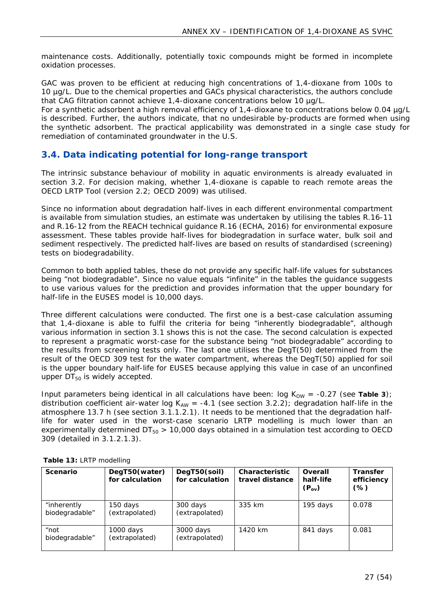maintenance costs. Additionally, potentially toxic compounds might be formed in incomplete oxidation processes.

GAC was proven to be efficient at reducing high concentrations of 1,4-dioxane from 100s to 10 µg/L. Due to the chemical properties and GACs physical characteristics, the authors conclude that CAG filtration cannot achieve 1,4-dioxane concentrations below 10 µg/L.

For a synthetic adsorbent a high removal efficiency of 1,4-dioxane to concentrations below 0.04 µg/L is described. Further, the authors indicate, that no undesirable by-products are formed when using the synthetic adsorbent. The practical applicability was demonstrated in a single case study for remediation of contaminated groundwater in the U.S.

## <span id="page-26-0"></span>**3.4. Data indicating potential for long-range transport**

The intrinsic substance behaviour of mobility in aquatic environments is already evaluated in section [3.2](#page-17-2). For decision making, whether 1,4-dioxane is capable to reach remote areas the OECD LRTP Tool (version 2.2; OECD 2009) was utilised.

Since no information about degradation half-lives in each different environmental compartment is available from simulation studies, an estimate was undertaken by utilising the tables R.16-11 and R.16-12 from the REACH technical guidance R.16 (ECHA, 2016) for environmental exposure assessment. These tables provide half-lives for biodegradation in surface water, bulk soil and sediment respectively. The predicted half-lives are based on results of standardised (screening) tests on biodegradability.

Common to both applied tables, these do not provide any specific half-life values for substances being "not biodegradable". Since no value equals "infinite" in the tables the guidance suggests to use various values for the prediction and provides information that the upper boundary for half-life in the EUSES model is 10,000 days.

Three different calculations were conducted. The first one is a best-case calculation assuming that 1,4-dioxane is able to fulfil the criteria for being "inherently biodegradable", although various information in section [3.1](#page-12-1) shows this is not the case. The second calculation is expected to represent a pragmatic worst-case for the substance being "not biodegradable" according to the results from screening tests only. The last one utilises the DegT(50) determined from the result of the OECD 309 test for the water compartment, whereas the DegT(50) applied for soil is the upper boundary half-life for EUSES because applying this value in case of an unconfined upper  $DT_{50}$  is widely accepted.

Input parameters being identical in all calculations have been:  $log K_{OW} = -0.27$  (see [Table 3](#page-10-1)); distribution coefficient air-water log  $K_{AW} = -4.1$  (see section [3.2.2\)](#page-18-0); degradation half-life in the atmosphere 13.7 h (see section [3.1.1.2.1](#page-12-4)). It needs to be mentioned that the degradation halflife for water used in the worst-case scenario LRTP modelling is much lower than an experimentally determined  $DT_{50} > 10,000$  days obtained in a simulation test according to OECD 309 (detailed in [3.1.2.1.3](#page-14-0)).

| Scenario                      | DegT50(water)<br>for calculation | DegT50(soil)<br>for calculation | Characteristic<br>travel distance | Overall<br>half-life<br>$(P_{ov})$ | Transfer<br>efficiency<br>(%) |
|-------------------------------|----------------------------------|---------------------------------|-----------------------------------|------------------------------------|-------------------------------|
| "inherently<br>biodegradable" | 150 days<br>(extrapolated)       | 300 days<br>(extrapolated)      | 335 km                            | 195 days                           | 0.078                         |
| "not<br>biodegradable"        | $1000$ days<br>(extrapolated)    | 3000 days<br>(extrapolated)     | 1420 km                           | 841 days                           | 0.081                         |

<span id="page-26-1"></span>**Table 13:** LRTP modelling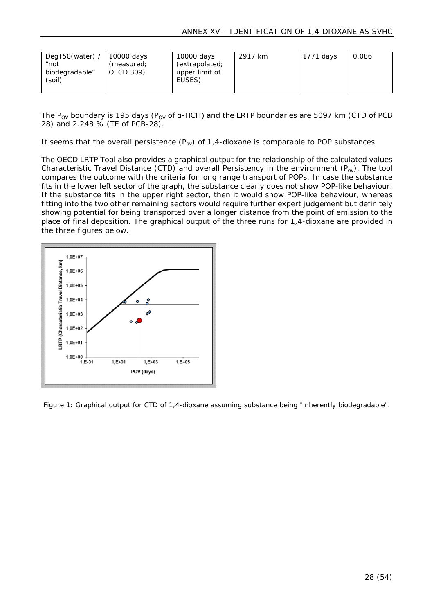| DegT50(water) /<br>"not<br>biodegradable"<br>(soil) | 10000 days<br>(measured;<br>OECD 309) | 10000 days<br>(extrapolated;<br>upper limit of<br>EUSES) | 2917 km | 1771 days | 0.086 |
|-----------------------------------------------------|---------------------------------------|----------------------------------------------------------|---------|-----------|-------|
|                                                     |                                       |                                                          |         |           |       |

The P<sub>ov</sub> boundary is 195 days (P<sub>ov</sub> of  $a$ -HCH) and the LRTP boundaries are 5097 km (CTD of PCB 28) and 2.248 % (TE of PCB-28).

It seems that the overall persistence  $(P_{ov})$  of 1,4-dioxane is comparable to POP substances.

The OECD LRTP Tool also provides a graphical output for the relationship of the calculated values Characteristic Travel Distance (CTD) and overall Persistency in the environment  $(P_{ov})$ . The tool compares the outcome with the criteria for long range transport of POPs. In case the substance fits in the lower left sector of the graph, the substance clearly does not show POP-like behaviour. If the substance fits in the upper right sector, then it would show POP-like behaviour, whereas fitting into the two other remaining sectors would require further expert judgement but definitely showing potential for being transported over a longer distance from the point of emission to the place of final deposition. The graphical output of the three runs for 1,4-dioxane are provided in the three figures below.



<span id="page-27-0"></span>Figure 1: Graphical output for CTD of 1,4-dioxane assuming substance being "inherently biodegradable".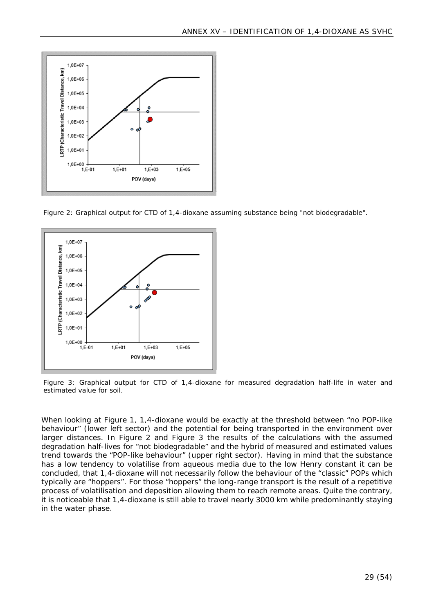

<span id="page-28-0"></span>Figure 2: Graphical output for CTD of 1,4-dioxane assuming substance being "not biodegradable".



<span id="page-28-1"></span>Figure 3: Graphical output for CTD of 1,4-dioxane for measured degradation half-life in water and estimated value for soil.

When looking at [Figure 1](#page-27-0), 1,4-dioxane would be exactly at the threshold between "no POP-like behaviour" (lower left sector) and the potential for being transported in the environment over larger distances. In [Figure 2](#page-28-0) and [Figure 3](#page-28-1) the results of the calculations with the assumed degradation half-lives for "not biodegradable" and the hybrid of measured and estimated values trend towards the "POP-like behaviour" (upper right sector). Having in mind that the substance has a low tendency to volatilise from aqueous media due to the low Henry constant it can be concluded, that 1,4-dioxane will not necessarily follow the behaviour of the "classic" POPs which typically are "hoppers". For those "hoppers" the long-range transport is the result of a repetitive process of volatilisation and deposition allowing them to reach remote areas. Quite the contrary, it is noticeable that 1,4-dioxane is still able to travel nearly 3000 km while predominantly staying in the water phase.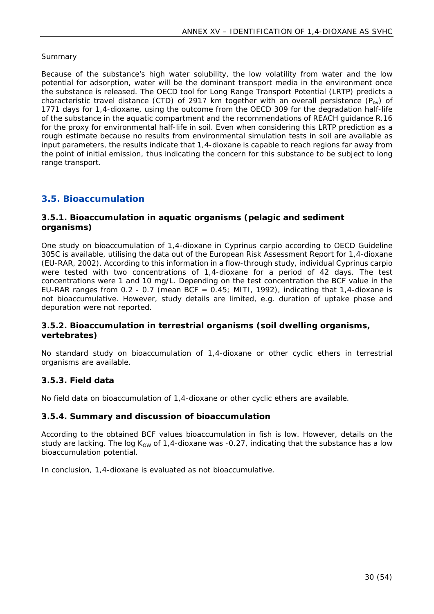#### *Summary*

Because of the substance's high water solubility, the low volatility from water and the low potential for adsorption, water will be the dominant transport media in the environment once the substance is released. The OECD tool for Long Range Transport Potential (LRTP) predicts a characteristic travel distance (CTD) of 2917 km together with an overall persistence ( $P_{\alpha\nu}$ ) of 1771 days for 1,4-dioxane, using the outcome from the OECD 309 for the degradation half-life of the substance in the aquatic compartment and the recommendations of REACH guidance R.16 for the proxy for environmental half-life in soil. Even when considering this LRTP prediction as a rough estimate because no results from environmental simulation tests in soil are available as input parameters, the results indicate that 1,4-dioxane is capable to reach regions far away from the point of initial emission, thus indicating the concern for this substance to be subject to long range transport.

## <span id="page-29-0"></span>**3.5. Bioaccumulation**

#### <span id="page-29-1"></span>**3.5.1. Bioaccumulation in aquatic organisms (pelagic and sediment organisms)**

One study on bioaccumulation of 1,4-dioxane in *Cyprinus carpio* according to OECD Guideline 305C is available, utilising the data out of the European Risk Assessment Report for 1,4-dioxane (EU-RAR, 2002). According to this information in a flow-through study, individual *Cyprinus carpio* were tested with two concentrations of 1,4-dioxane for a period of 42 days. The test concentrations were 1 and 10 mg/L. Depending on the test concentration the BCF value in the EU-RAR ranges from 0.2 - 0.7 (mean BCF =  $0.45$ ; MITI, 1992), indicating that 1,4-dioxane is not bioaccumulative. However, study details are limited, e.g. duration of uptake phase and depuration were not reported.

#### <span id="page-29-2"></span>**3.5.2. Bioaccumulation in terrestrial organisms (soil dwelling organisms, vertebrates)**

No standard study on bioaccumulation of 1,4-dioxane or other cyclic ethers in terrestrial organisms are available.

#### <span id="page-29-3"></span>**3.5.3. Field data**

No field data on bioaccumulation of 1,4-dioxane or other cyclic ethers are available.

#### <span id="page-29-4"></span>**3.5.4. Summary and discussion of bioaccumulation**

According to the obtained BCF values bioaccumulation in fish is low. However, details on the study are lacking. The log  $K_{\text{OW}}$  of 1,4-dioxane was -0.27, indicating that the substance has a low bioaccumulation potential.

In conclusion, 1,4-dioxane is evaluated as not bioaccumulative.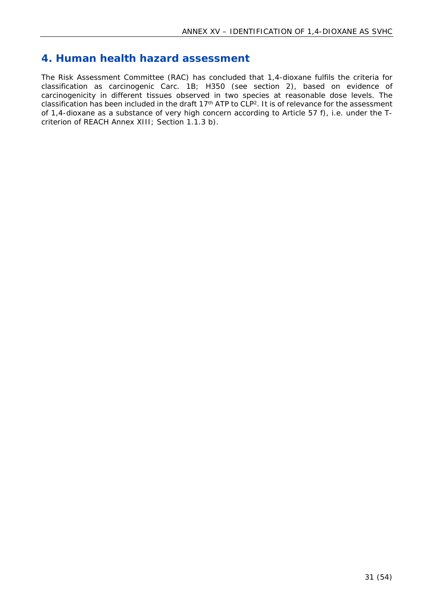## <span id="page-30-0"></span>**4. Human health hazard assessment**

The Risk Assessment Committee (RAC) has concluded that 1,4-dioxane fulfils the criteria for classification as carcinogenic Carc. 1B; H350 (see section [2\)](#page-11-0), based on evidence of carcinogenicity in different tissues observed in two species at reasonable dose levels. The classification has been included in the draft 17th ATP to CLP[2](#page-11-3). It is of relevance for the assessment of 1,4-dioxane as a substance of very high concern according to Article 57 f), i.e. under the Tcriterion of REACH Annex XIII; Section 1.1.3 b).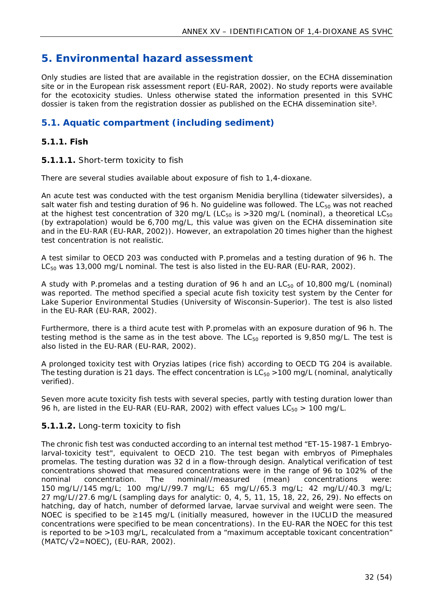## <span id="page-31-0"></span>**5. Environmental hazard assessment**

Only studies are listed that are available in the registration dossier, on the ECHA dissemination site or in the European risk assessment report (EU-RAR, 2002). No study reports were available for the ecotoxicity studies. Unless otherwise stated the information presented in this SVHC dossier is taken from the registration dossier as published on the ECHA dissemination site[3](#page-12-5).

## <span id="page-31-1"></span>**5.1. Aquatic compartment (including sediment)**

## <span id="page-31-2"></span>**5.1.1. Fish**

## **5.1.1.1.** Short-term toxicity to fish

There are several studies available about exposure of fish to 1,4-dioxane.

An acute test was conducted with the test organism *Menidia beryllina* (tidewater silversides), a salt water fish and testing duration of 96 h. No quideline was followed. The  $LC_{50}$  was not reached at the highest test concentration of 320 mg/L (LC<sub>50</sub> is >320 mg/L (nominal), a theoretical LC<sub>50</sub> (by extrapolation) would be 6,700 mg/L, this value was given on the ECHA dissemination site and in the EU-RAR (EU-RAR, 2002)). However, an extrapolation 20 times higher than the highest test concentration is not realistic.

A test similar to OECD 203 was conducted with *P.promelas* and a testing duration of 96 h. The LC<sub>50</sub> was 13,000 mg/L nominal. The test is also listed in the EU-RAR (EU-RAR, 2002).

A study with *P.promelas* and a testing duration of 96 h and an LC<sub>50</sub> of 10,800 mg/L (nominal) was reported. The method specified a special acute fish toxicity test system by the Center for Lake Superior Environmental Studies (University of Wisconsin-Superior). The test is also listed in the EU-RAR (EU-RAR, 2002).

Furthermore, there is a third acute test with *P.promelas* with an exposure duration of 96 h. The testing method is the same as in the test above. The  $LC_{50}$  reported is 9,850 mg/L. The test is also listed in the EU-RAR (EU-RAR, 2002).

A prolonged toxicity test with *Oryzias latipes* (rice fish) according to OECD TG 204 is available. The testing duration is 21 days. The effect concentration is  $LC_{50} > 100$  mg/L (nominal, analytically verified).

Seven more acute toxicity fish tests with several species, partly with testing duration lower than 96 h, are listed in the EU-RAR (EU-RAR, 2002) with effect values  $LC_{50} > 100$  mg/L.

#### **5.1.1.2.** Long-term toxicity to fish

The chronic fish test was conducted according to an internal test method "ET-15-1987-1 Embryolarval-toxicity test", equivalent to OECD 210. The test began with embryos of *Pimephales promelas.* The testing duration was 32 d in a flow-through design. Analytical verification of test concentrations showed that measured concentrations were in the range of 96 to 102% of the nominal concentration. The nominal//measured (mean) concentrations were: 150 mg/L//145 mg/L; 100 mg/L//99.7 mg/L; 65 mg/L//65.3 mg/L; 42 mg/L//40.3 mg/L; 27 mg/L//27.6 mg/L (sampling days for analytic: 0, 4, 5, 11, 15, 18, 22, 26, 29). No effects on hatching, day of hatch, number of deformed larvae, larvae survival and weight were seen. The NOEC is specified to be ≥145 mg/L (initially measured, however in the IUCLID the measured concentrations were specified to be mean concentrations). In the EU-RAR the NOEC for this test is reported to be >103 mg/L, recalculated from a "maximum acceptable toxicant concentration"  $(MATC/\sqrt{2}=NOEC)$ ,  $(EU-RAR, 2002)$ .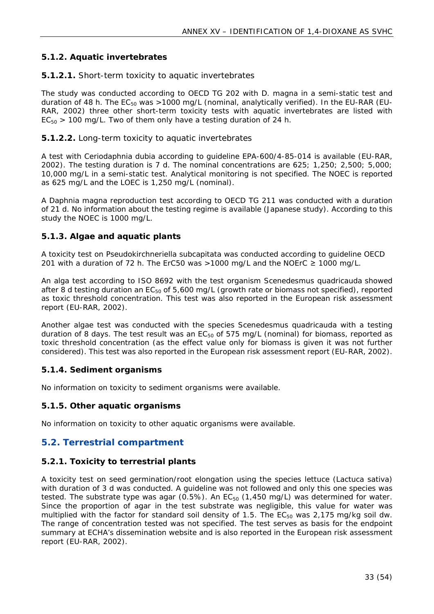## <span id="page-32-0"></span>**5.1.2. Aquatic invertebrates**

#### **5.1.2.1.** Short-term toxicity to aquatic invertebrates

The study was conducted according to OECD TG 202 with *D. magna* in a semi-static test and duration of 48 h. The  $EC_{50}$  was >1000 mg/L (nominal, analytically verified). In the EU-RAR (EU-RAR, 2002) three other short-term toxicity tests with aquatic invertebrates are listed with  $EC_{50}$  > 100 mg/L. Two of them only have a testing duration of 24 h.

#### **5.1.2.2.** Long-term toxicity to aquatic invertebrates

A test with *Ceriodaphnia dubia* according to guideline EPA-600/4-85-014 is available (EU-RAR, 2002). The testing duration is 7 d. The nominal concentrations are 625; 1,250; 2,500; 5,000; 10,000 mg/L in a semi-static test. Analytical monitoring is not specified. The NOEC is reported as 625 mg/L and the LOEC is 1,250 mg/L (nominal).

A *Daphnia magna* reproduction test according to OECD TG 211 was conducted with a duration of 21 d. No information about the testing regime is available (Japanese study). According to this study the NOEC is 1000 mg/L.

## <span id="page-32-1"></span>**5.1.3. Algae and aquatic plants**

A toxicity test on *Pseudokirchneriella subcapitata* was conducted according to guideline OECD 201 with a duration of 72 h. The ErC50 was >1000 mg/L and the NOErC  $\geq$  1000 mg/L.

An alga test according to ISO 8692 with the test organism *Scenedesmus quadricauda* showed after 8 d testing duration an  $EC_{50}$  of 5,600 mg/L (growth rate or biomass not specified), reported as toxic threshold concentration. This test was also reported in the European risk assessment report (EU-RAR, 2002).

Another algae test was conducted with the species *Scenedesmus quadricauda* with a testing duration of 8 days. The test result was an  $EC_{50}$  of 575 mg/L (nominal) for biomass, reported as toxic threshold concentration (as the effect value only for biomass is given it was not further considered). This test was also reported in the European risk assessment report (EU-RAR, 2002).

#### <span id="page-32-2"></span>**5.1.4. Sediment organisms**

No information on toxicity to sediment organisms were available.

#### <span id="page-32-3"></span>**5.1.5. Other aquatic organisms**

No information on toxicity to other aquatic organisms were available.

## <span id="page-32-4"></span>**5.2. Terrestrial compartment**

#### <span id="page-32-5"></span>**5.2.1. Toxicity to terrestrial plants**

A toxicity test on seed germination/root elongation using the species lettuce (*Lactuca sativa)* with duration of 3 d was conducted. A guideline was not followed and only this one species was tested. The substrate type was agar  $(0.5\%)$ . An  $EC_{50}$  (1,450 mg/L) was determined for water. Since the proportion of agar in the test substrate was negligible, this value for water was multiplied with the factor for standard soil density of 1.5. The  $EC_{50}$  was 2,175 mg/kg soil dw. The range of concentration tested was not specified. The test serves as basis for the endpoint summary at ECHA's dissemination website and is also reported in the European risk assessment report (EU-RAR, 2002).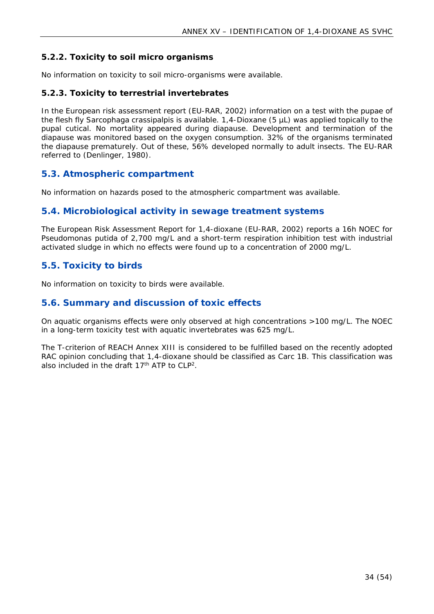## <span id="page-33-0"></span>**5.2.2. Toxicity to soil micro organisms**

No information on toxicity to soil micro-organisms were available.

#### <span id="page-33-1"></span>**5.2.3. Toxicity to terrestrial invertebrates**

In the European risk assessment report (EU-RAR, 2002) information on a test with the pupae of the flesh fly *Sarcophaga crassipalpis* is available. 1,4-Dioxane (5 µL) was applied topically to the pupal cutical. No mortality appeared during diapause. Development and termination of the diapause was monitored based on the oxygen consumption. 32% of the organisms terminated the diapause prematurely. Out of these, 56% developed normally to adult insects. The EU-RAR referred to (Denlinger, 1980).

## <span id="page-33-2"></span>**5.3. Atmospheric compartment**

No information on hazards posed to the atmospheric compartment was available.

## <span id="page-33-3"></span>**5.4. Microbiological activity in sewage treatment systems**

The European Risk Assessment Report for 1,4-dioxane (EU-RAR, 2002) reports a 16h NOEC for *Pseudomonas putida* of 2,700 mg/L and a short-term respiration inhibition test with industrial activated sludge in which no effects were found up to a concentration of 2000 mg/L.

## <span id="page-33-4"></span>**5.5. Toxicity to birds**

No information on toxicity to birds were available.

### <span id="page-33-5"></span>**5.6. Summary and discussion of toxic effects**

On aquatic organisms effects were only observed at high concentrations >100 mg/L. The NOEC in a long-term toxicity test with aquatic invertebrates was 625 mg/L.

The T-criterion of REACH Annex XIII is considered to be fulfilled based on the recently adopted RAC opinion concluding that 1,4-dioxane should be classified as Carc 1B. This classification was also included in the draft 17<sup>th</sup> ATP to CLP<sup>[2](#page-11-3)</sup>.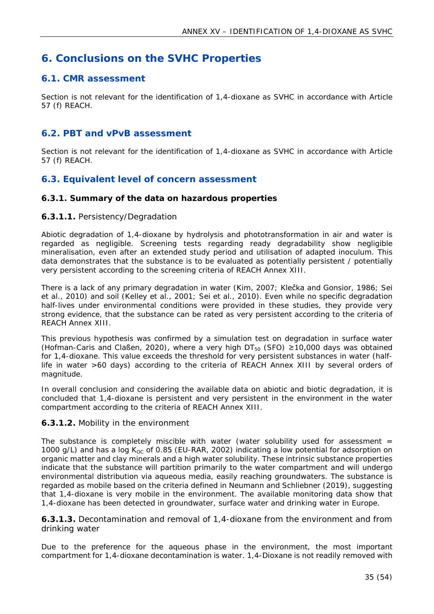## <span id="page-34-0"></span>**6. Conclusions on the SVHC Properties**

## <span id="page-34-1"></span>**6.1. CMR assessment**

Section is not relevant for the identification of 1,4-dioxane as SVHC in accordance with Article 57 (f) REACH.

## <span id="page-34-2"></span>**6.2. PBT and vPvB assessment**

Section is not relevant for the identification of 1,4-dioxane as SVHC in accordance with Article 57 (f) REACH.

## <span id="page-34-3"></span>**6.3. Equivalent level of concern assessment**

#### <span id="page-34-4"></span>**6.3.1. Summary of the data on hazardous properties**

#### **6.3.1.1.** Persistency/Degradation

Abiotic degradation of 1,4-dioxane by hydrolysis and phototransformation in air and water is regarded as negligible. Screening tests regarding ready degradability show negligible mineralisation, even after an extended study period and utilisation of adapted inoculum. This data demonstrates that the substance is to be evaluated as potentially persistent / potentially very persistent according to the screening criteria of REACH Annex XIII.

There is a lack of any primary degradation in water (Kim, 2007; Klečka and Gonsior, 1986; Sei et al., 2010) and soil (Kelley et al., 2001; Sei et al., 2010). Even while no specific degradation half-lives under environmental conditions were provided in these studies, they provide very strong evidence, that the substance can be rated as very persistent according to the criteria of REACH Annex XIII.

This previous hypothesis was confirmed by a simulation test on degradation in surface water (Hofman-Caris and Claßen, 2020), where a very high  $DT_{50}$  (SFO)  $\geq 10,000$  days was obtained for 1,4-dioxane. This value exceeds the threshold for very persistent substances in water (halflife in water >60 days) according to the criteria of REACH Annex XIII by several orders of magnitude.

In overall conclusion and considering the available data on abiotic and biotic degradation, it is concluded that 1,4-dioxane is persistent and very persistent in the environment in the water compartment according to the criteria of REACH Annex XIII.

#### **6.3.1.2.** Mobility in the environment

The substance is completely miscible with water (water solubility used for assessment  $=$ 1000 g/L) and has a log  $K_{OC}$  of 0.85 (EU-RAR, 2002) indicating a low potential for adsorption on organic matter and clay minerals and a high water solubility. These intrinsic substance properties indicate that the substance will partition primarily to the water compartment and will undergo environmental distribution via aqueous media, easily reaching groundwaters. The substance is regarded as mobile based on the criteria defined in Neumann and Schliebner (2019), suggesting that 1,4-dioxane is very mobile in the environment. The available monitoring data show that 1,4-dioxane has been detected in groundwater, surface water and drinking water in Europe.

**6.3.1.3.** Decontamination and removal of 1,4-dioxane from the environment and from drinking water

Due to the preference for the aqueous phase in the environment, the most important compartment for 1,4-dioxane decontamination is water. 1,4-Dioxane is not readily removed with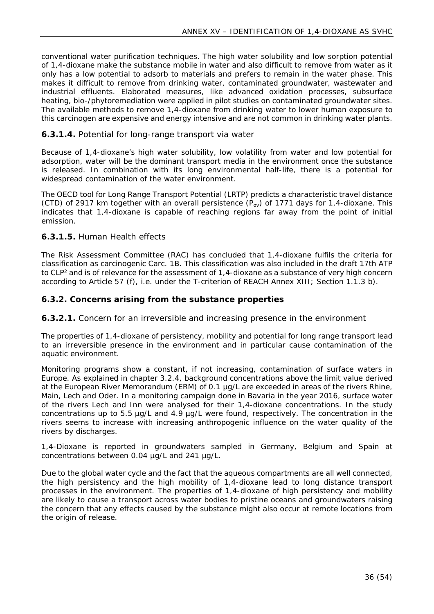conventional water purification techniques. The high water solubility and low sorption potential of 1,4-dioxane make the substance mobile in water and also difficult to remove from water as it only has a low potential to adsorb to materials and prefers to remain in the water phase. This makes it difficult to remove from drinking water, contaminated groundwater, wastewater and industrial effluents. Elaborated measures, like advanced oxidation processes, subsurface heating, bio-/phytoremediation were applied in pilot studies on contaminated groundwater sites. The available methods to remove 1,4-dioxane from drinking water to lower human exposure to this carcinogen are expensive and energy intensive and are not common in drinking water plants.

#### **6.3.1.4.** Potential for long-range transport via water

Because of 1,4-dioxane's high water solubility, low volatility from water and low potential for adsorption, water will be the dominant transport media in the environment once the substance is released. In combination with its long environmental half-life, there is a potential for widespread contamination of the water environment.

The OECD tool for Long Range Transport Potential (LRTP) predicts a characteristic travel distance (CTD) of 2917 km together with an overall persistence  $(P_{ov})$  of 1771 days for 1,4-dioxane. This indicates that 1,4-dioxane is capable of reaching regions far away from the point of initial emission.

#### **6.3.1.5.** Human Health effects

The Risk Assessment Committee (RAC) has concluded that 1,4-dioxane fulfils the criteria for classification as carcinogenic Carc. 1B. This classification was also included in the draft 17th ATP to CLP[2](#page-11-3) and is of relevance for the assessment of 1,4-dioxane as a substance of very high concern according to Article 57 (f), i.e. under the T-criterion of REACH Annex XIII; Section 1.1.3 b).

<span id="page-35-0"></span>**6.3.2. Concerns arising from the substance properties**

**6.3.2.1.** Concern for an irreversible and increasing presence in the environment

The properties of 1,4-dioxane of persistency, mobility and potential for long range transport lead to an irreversible presence in the environment and in particular cause contamination of the aquatic environment.

Monitoring programs show a constant, if not increasing, contamination of surface waters in Europe. As explained in chapter 3.2.4, background concentrations above the limit value derived at the European River Memorandum (ERM) of 0.1 µg/L are exceeded in areas of the rivers Rhine, Main, Lech and Oder. In a monitoring campaign done in Bavaria in the year 2016, surface water of the rivers Lech and Inn were analysed for their 1,4-dioxane concentrations. In the study concentrations up to 5.5 µg/L and 4.9 µg/L were found, respectively. The concentration in the rivers seems to increase with increasing anthropogenic influence on the water quality of the rivers by discharges.

1,4-Dioxane is reported in groundwaters sampled in Germany, Belgium and Spain at concentrations between 0.04 µg/L and 241 µg/L.

Due to the global water cycle and the fact that the aqueous compartments are all well connected, the high persistency and the high mobility of 1,4-dioxane lead to long distance transport processes in the environment. The properties of 1,4-dioxane of high persistency and mobility are likely to cause a transport across water bodies to pristine oceans and groundwaters raising the concern that any effects caused by the substance might also occur at remote locations from the origin of release.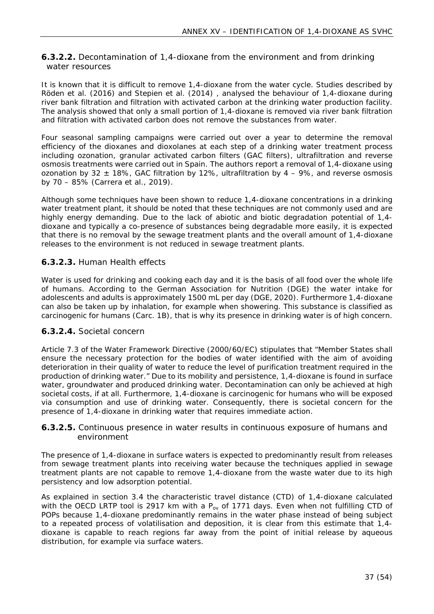## **6.3.2.2.** Decontamination of 1,4-dioxane from the environment and from drinking water resources

It is known that it is difficult to remove 1,4-dioxane from the water cycle. Studies described by Röden et al. (2016) and Stepien et al. (2014) , analysed the behaviour of 1,4-dioxane during river bank filtration and filtration with activated carbon at the drinking water production facility. The analysis showed that only a small portion of 1,4-dioxane is removed via river bank filtration and filtration with activated carbon does not remove the substances from water.

Four seasonal sampling campaigns were carried out over a year to determine the removal efficiency of the dioxanes and dioxolanes at each step of a drinking water treatment process including ozonation, granular activated carbon filters (GAC filters), ultrafiltration and reverse osmosis treatments were carried out in Spain. The authors report a removal of 1,4-dioxane using ozonation by 32  $\pm$  18%, GAC filtration by 12%, ultrafiltration by 4 – 9%, and reverse osmosis by 70 – 85% (Carrera et al., 2019).

Although some techniques have been shown to reduce 1,4-dioxane concentrations in a drinking water treatment plant, it should be noted that these techniques are not commonly used and are highly energy demanding. Due to the lack of abiotic and biotic degradation potential of 1,4 dioxane and typically a co-presence of substances being degradable more easily, it is expected that there is no removal by the sewage treatment plants and the overall amount of 1,4-dioxane releases to the environment is not reduced in sewage treatment plants.

## **6.3.2.3.** Human Health effects

Water is used for drinking and cooking each day and it is the basis of all food over the whole life of humans. According to the German Association for Nutrition (DGE) the water intake for adolescents and adults is approximately 1500 mL per day (DGE, 2020). Furthermore 1,4-dioxane can also be taken up by inhalation, for example when showering. This substance is classified as carcinogenic for humans (Carc. 1B), that is why its presence in drinking water is of high concern.

#### **6.3.2.4.** Societal concern

Article 7.3 of the Water Framework Directive (2000/60/EC) stipulates that "Member States shall ensure the necessary protection for the bodies of water identified with the aim of avoiding deterioration in their quality of water to reduce the level of purification treatment required in the production of drinking water." Due to its mobility and persistence, 1,4-dioxane is found in surface water, groundwater and produced drinking water. Decontamination can only be achieved at high societal costs, if at all. Furthermore, 1,4-dioxane is carcinogenic for humans who will be exposed via consumption and use of drinking water. Consequently, there is societal concern for the presence of 1,4-dioxane in drinking water that requires immediate action.

#### **6.3.2.5.** Continuous presence in water results in continuous exposure of humans and environment

The presence of 1,4-dioxane in surface waters is expected to predominantly result from releases from sewage treatment plants into receiving water because the techniques applied in sewage treatment plants are not capable to remove 1,4-dioxane from the waste water due to its high persistency and low adsorption potential.

As explained in section [3.4](#page-26-0) the characteristic travel distance (CTD) of 1,4-dioxane calculated with the OECD LRTP tool is 2917 km with a  $P_{ov}$  of 1771 days. Even when not fulfilling CTD of POPs because 1,4-dioxane predominantly remains in the water phase instead of being subject to a repeated process of volatilisation and deposition, it is clear from this estimate that 1,4 dioxane is capable to reach regions far away from the point of initial release by aqueous distribution, for example via surface waters.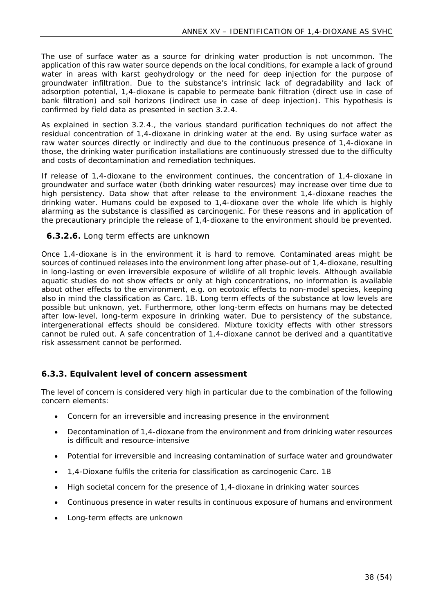The use of surface water as a source for drinking water production is not uncommon. The application of this raw water source depends on the local conditions, for example a lack of ground water in areas with karst geohydrology or the need for deep injection for the purpose of groundwater infiltration. Due to the substance's intrinsic lack of degradability and lack of adsorption potential, 1,4-dioxane is capable to permeate bank filtration (direct use in case of bank filtration) and soil horizons (indirect use in case of deep injection). This hypothesis is confirmed by field data as presented in section [3.2.4.](#page-21-0)

As explained in section 3.2.4., the various standard purification techniques do not affect the residual concentration of 1,4-dioxane in drinking water at the end. By using surface water as raw water sources directly or indirectly and due to the continuous presence of 1,4-dioxane in those, the drinking water purification installations are continuously stressed due to the difficulty and costs of decontamination and remediation techniques.

If release of 1,4-dioxane to the environment continues, the concentration of 1,4-dioxane in groundwater and surface water (both drinking water resources) may increase over time due to high persistency. Data show that after release to the environment 1,4-dioxane reaches the drinking water. Humans could be exposed to 1,4-dioxane over the whole life which is highly alarming as the substance is classified as carcinogenic. For these reasons and in application of the precautionary principle the release of 1,4-dioxane to the environment should be prevented.

#### **6.3.2.6.** Long term effects are unknown

Once 1,4-dioxane is in the environment it is hard to remove. Contaminated areas might be sources of continued releases into the environment long after phase-out of 1,4-dioxane, resulting in long-lasting or even irreversible exposure of wildlife of all trophic levels. Although available aquatic studies do not show effects or only at high concentrations, no information is available about other effects to the environment, e.g. on ecotoxic effects to non-model species, keeping also in mind the classification as Carc. 1B. Long term effects of the substance at low levels are possible but unknown, yet. Furthermore, other long-term effects on humans may be detected after low-level, long-term exposure in drinking water. Due to persistency of the substance, intergenerational effects should be considered. Mixture toxicity effects with other stressors cannot be ruled out. A safe concentration of 1,4-dioxane cannot be derived and a quantitative risk assessment cannot be performed.

#### <span id="page-37-0"></span>**6.3.3. Equivalent level of concern assessment**

The level of concern is considered very high in particular due to the combination of the following concern elements:

- Concern for an irreversible and increasing presence in the environment
- Decontamination of 1,4-dioxane from the environment and from drinking water resources is difficult and resource-intensive
- Potential for irreversible and increasing contamination of surface water and groundwater
- 1,4-Dioxane fulfils the criteria for classification as carcinogenic Carc. 1B
- High societal concern for the presence of 1,4-dioxane in drinking water sources
- Continuous presence in water results in continuous exposure of humans and environment
- Long-term effects are unknown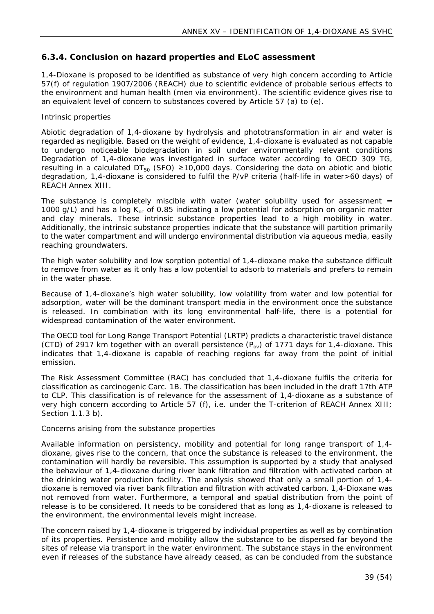## <span id="page-38-0"></span>**6.3.4. Conclusion on hazard properties and ELoC assessment**

1,4-Dioxane is proposed to be identified as substance of very high concern according to Article 57(f) of regulation 1907/2006 (REACH) due to scientific evidence of probable serious effects to the environment and human health (men via environment). The scientific evidence gives rise to an equivalent level of concern to substances covered by Article 57 (a) to (e).

#### *Intrinsic properties*

Abiotic degradation of 1,4-dioxane by hydrolysis and phototransformation in air and water is regarded as negligible. Based on the weight of evidence, 1,4-dioxane is evaluated as not capable to undergo noticeable biodegradation in soil under environmentally relevant conditions Degradation of 1,4-dioxane was investigated in surface water according to OECD 309 TG, resulting in a calculated  $DT_{50}$  (SFO)  $\geq 10,000$  days. Considering the data on abiotic and biotic degradation, 1,4-dioxane is considered to fulfil the P/vP criteria (half-life in water>60 days) of REACH Annex XIII.

The substance is completely miscible with water (water solubility used for assessment  $=$ 1000 g/L) and has a log  $K_{oc}$  of 0.85 indicating a low potential for adsorption on organic matter and clay minerals. These intrinsic substance properties lead to a high mobility in water. Additionally, the intrinsic substance properties indicate that the substance will partition primarily to the water compartment and will undergo environmental distribution via aqueous media, easily reaching groundwaters.

The high water solubility and low sorption potential of 1,4-dioxane make the substance difficult to remove from water as it only has a low potential to adsorb to materials and prefers to remain in the water phase.

Because of 1,4-dioxane's high water solubility, low volatility from water and low potential for adsorption, water will be the dominant transport media in the environment once the substance is released. In combination with its long environmental half-life, there is a potential for widespread contamination of the water environment.

The OECD tool for Long Range Transport Potential (LRTP) predicts a characteristic travel distance (CTD) of 2917 km together with an overall persistence  $(P_{ov})$  of 1771 days for 1,4-dioxane. This indicates that 1,4-dioxane is capable of reaching regions far away from the point of initial emission.

The Risk Assessment Committee (RAC) has concluded that 1,4-dioxane fulfils the criteria for classification as carcinogenic Carc. 1B. The classification has been included in the draft 17th ATP to CLP. This classification is of relevance for the assessment of 1,4-dioxane as a substance of very high concern according to Article 57 (f), i.e. under the T-criterion of REACH Annex XIII; Section 1.1.3 b).

#### *Concerns arising from the substance properties*

Available information on persistency, mobility and potential for long range transport of 1,4 dioxane, gives rise to the concern, that once the substance is released to the environment, the contamination will hardly be reversible. This assumption is supported by a study that analysed the behaviour of 1,4-dioxane during river bank filtration and filtration with activated carbon at the drinking water production facility. The analysis showed that only a small portion of 1,4 dioxane is removed via river bank filtration and filtration with activated carbon. 1,4-Dioxane was not removed from water. Furthermore, a temporal and spatial distribution from the point of release is to be considered. It needs to be considered that as long as 1,4-dioxane is released to the environment, the environmental levels might increase.

The concern raised by 1,4-dioxane is triggered by individual properties as well as by combination of its properties. Persistence and mobility allow the substance to be dispersed far beyond the sites of release via transport in the water environment. The substance stays in the environment even if releases of the substance have already ceased, as can be concluded from the substance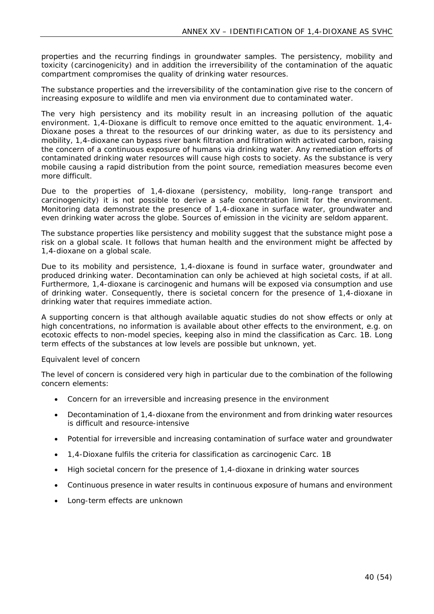properties and the recurring findings in groundwater samples. The persistency, mobility and toxicity (carcinogenicity) and in addition the irreversibility of the contamination of the aquatic compartment compromises the quality of drinking water resources.

The substance properties and the irreversibility of the contamination give rise to the concern of increasing exposure to wildlife and men via environment due to contaminated water.

The very high persistency and its mobility result in an increasing pollution of the aquatic environment. 1,4-Dioxane is difficult to remove once emitted to the aquatic environment. 1,4- Dioxane poses a threat to the resources of our drinking water, as due to its persistency and mobility, 1,4-dioxane can bypass river bank filtration and filtration with activated carbon, raising the concern of a continuous exposure of humans via drinking water. Any remediation efforts of contaminated drinking water resources will cause high costs to society. As the substance is very mobile causing a rapid distribution from the point source, remediation measures become even more difficult.

Due to the properties of 1,4-dioxane (persistency, mobility, long-range transport and carcinogenicity) it is not possible to derive a safe concentration limit for the environment. Monitoring data demonstrate the presence of 1,4-dioxane in surface water, groundwater and even drinking water across the globe. Sources of emission in the vicinity are seldom apparent.

The substance properties like persistency and mobility suggest that the substance might pose a risk on a global scale. It follows that human health and the environment might be affected by 1,4-dioxane on a global scale.

Due to its mobility and persistence, 1,4-dioxane is found in surface water, groundwater and produced drinking water. Decontamination can only be achieved at high societal costs, if at all. Furthermore, 1,4-dioxane is carcinogenic and humans will be exposed via consumption and use of drinking water. Consequently, there is societal concern for the presence of 1,4-dioxane in drinking water that requires immediate action.

A supporting concern is that although available aquatic studies do not show effects or only at high concentrations, no information is available about other effects to the environment, e.g. on ecotoxic effects to non-model species, keeping also in mind the classification as Carc. 1B. Long term effects of the substances at low levels are possible but unknown, yet.

#### *Equivalent level of concern*

The level of concern is considered very high in particular due to the combination of the following concern elements:

- Concern for an irreversible and increasing presence in the environment
- Decontamination of 1,4-dioxane from the environment and from drinking water resources is difficult and resource-intensive
- Potential for irreversible and increasing contamination of surface water and groundwater
- 1,4-Dioxane fulfils the criteria for classification as carcinogenic Carc. 1B
- High societal concern for the presence of 1,4-dioxane in drinking water sources
- Continuous presence in water results in continuous exposure of humans and environment
- Long-term effects are unknown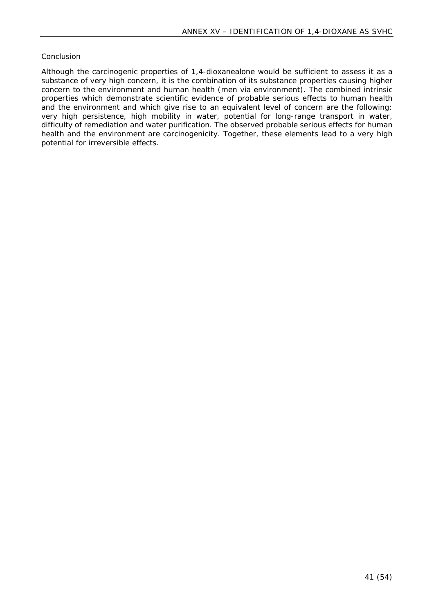#### *Conclusion*

Although the carcinogenic properties of 1,4-dioxanealone would be sufficient to assess it as a substance of very high concern, it is the combination of its substance properties causing higher concern to the environment and human health (men via environment). The combined intrinsic properties which demonstrate scientific evidence of probable serious effects to human health and the environment and which give rise to an equivalent level of concern are the following: very high persistence, high mobility in water, potential for long-range transport in water, difficulty of remediation and water purification. The observed probable serious effects for human health and the environment are carcinogenicity. Together, these elements lead to a very high potential for irreversible effects.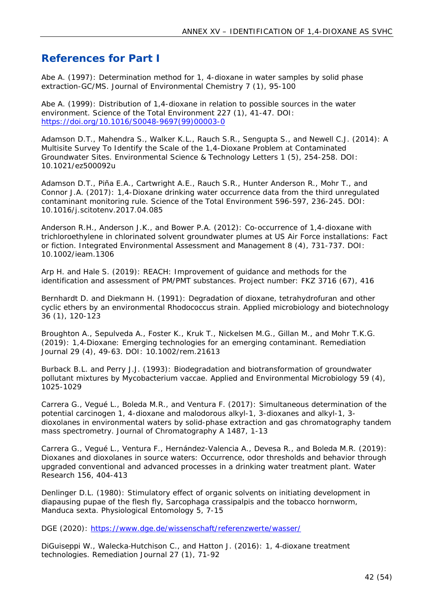## <span id="page-41-0"></span>**References for Part I**

Abe A. (1997): Determination method for 1, 4-dioxane in water samples by solid phase extraction-GC/MS. Journal of Environmental Chemistry 7 (1), 95-100

Abe A. (1999): Distribution of 1,4-dioxane in relation to possible sources in the water environment. Science of the Total Environment 227 (1), 41-47. DOI: [https://doi.org/10.1016/S0048-9697\(99\)00003-0](https://doi.org/10.1016/S0048-9697(99)00003-0)

Adamson D.T., Mahendra S., Walker K.L., Rauch S.R., Sengupta S., and Newell C.J. (2014): A Multisite Survey To Identify the Scale of the 1,4-Dioxane Problem at Contaminated Groundwater Sites. Environmental Science & Technology Letters 1 (5), 254-258. DOI: 10.1021/ez500092u

Adamson D.T., Piña E.A., Cartwright A.E., Rauch S.R., Hunter Anderson R., Mohr T., and Connor J.A. (2017): 1,4-Dioxane drinking water occurrence data from the third unregulated contaminant monitoring rule. Science of the Total Environment 596-597, 236-245. DOI: 10.1016/j.scitotenv.2017.04.085

Anderson R.H., Anderson J.K., and Bower P.A. (2012): Co-occurrence of 1,4-dioxane with trichloroethylene in chlorinated solvent groundwater plumes at US Air Force installations: Fact or fiction. Integrated Environmental Assessment and Management 8 (4), 731-737. DOI: 10.1002/ieam.1306

Arp H. and Hale S. (2019): REACH: Improvement of guidance and methods for the identification and assessment of PM/PMT substances. Project number: FKZ 3716 (67), 416

Bernhardt D. and Diekmann H. (1991): Degradation of dioxane, tetrahydrofuran and other cyclic ethers by an environmental Rhodococcus strain. Applied microbiology and biotechnology 36 (1), 120-123

Broughton A., Sepulveda A., Foster K., Kruk T., Nickelsen M.G., Gillan M., and Mohr T.K.G. (2019): 1,4‐Dioxane: Emerging technologies for an emerging contaminant. Remediation Journal 29 (4), 49-63. DOI: 10.1002/rem.21613

Burback B.L. and Perry J.J. (1993): Biodegradation and biotransformation of groundwater pollutant mixtures by Mycobacterium vaccae. Applied and Environmental Microbiology 59 (4), 1025-1029

Carrera G., Vegué L., Boleda M.R., and Ventura F. (2017): Simultaneous determination of the potential carcinogen 1, 4-dioxane and malodorous alkyl-1, 3-dioxanes and alkyl-1, 3 dioxolanes in environmental waters by solid-phase extraction and gas chromatography tandem mass spectrometry. Journal of Chromatography A 1487, 1-13

Carrera G., Vegué L., Ventura F., Hernández-Valencia A., Devesa R., and Boleda M.R. (2019): Dioxanes and dioxolanes in source waters: Occurrence, odor thresholds and behavior through upgraded conventional and advanced processes in a drinking water treatment plant. Water Research 156, 404-413

Denlinger D.L. (1980): Stimulatory effect of organic solvents on initiating development in diapausing pupae of the flesh fly, Sarcophaga crassipalpis and the tobacco hornworm, Manduca sexta. Physiological Entomology 5, 7-15

DGE (2020): <https://www.dge.de/wissenschaft/referenzwerte/wasser/>

DiGuiseppi W., Walecka‐Hutchison C., and Hatton J. (2016): 1, 4‐dioxane treatment technologies. Remediation Journal 27 (1), 71-92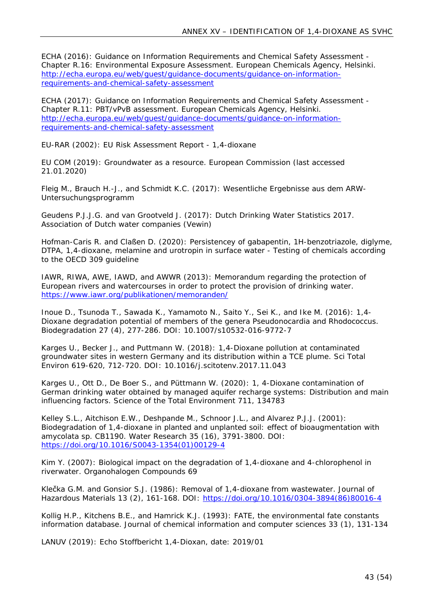ECHA (2016): Guidance on Information Requirements and Chemical Safety Assessment - Chapter R.16: Environmental Exposure Assessment. European Chemicals Agency, Helsinki. [http://echa.europa.eu/web/guest/guidance-documents/guidance-on-information](http://echa.europa.eu/web/guest/guidance-documents/guidance-on-information-requirements-and-chemical-safety-assessment)[requirements-and-chemical-safety-assessment](http://echa.europa.eu/web/guest/guidance-documents/guidance-on-information-requirements-and-chemical-safety-assessment)

ECHA (2017): Guidance on Information Requirements and Chemical Safety Assessment - Chapter R.11: PBT/vPvB assessment. European Chemicals Agency, Helsinki. [http://echa.europa.eu/web/guest/guidance-documents/guidance-on-information](http://echa.europa.eu/web/guest/guidance-documents/guidance-on-information-requirements-and-chemical-safety-assessment)[requirements-and-chemical-safety-assessment](http://echa.europa.eu/web/guest/guidance-documents/guidance-on-information-requirements-and-chemical-safety-assessment)

EU-RAR (2002): EU Risk Assessment Report - 1,4-dioxane

EU COM (2019): Groundwater as a resource. European Commission (last accessed 21.01.2020)

Fleig M., Brauch H.-J., and Schmidt K.C. (2017): Wesentliche Ergebnisse aus dem ARW-Untersuchungsprogramm

Geudens P.J.J.G. and van Grootveld J. (2017): Dutch Drinking Water Statistics 2017. Association of Dutch water companies (Vewin)

Hofman-Caris R. and Claßen D. (2020): Persistencey of gabapentin, 1H-benzotriazole, diglyme, DTPA, 1,4-dioxane, melamine and urotropin in surface water - Testing of chemicals according to the OECD 309 guideline

IAWR, RIWA, AWE, IAWD, and AWWR (2013): Memorandum regarding the protection of European rivers and watercourses in order to protect the provision of drinking water. <https://www.iawr.org/publikationen/memoranden/>

Inoue D., Tsunoda T., Sawada K., Yamamoto N., Saito Y., Sei K., and Ike M. (2016): 1,4- Dioxane degradation potential of members of the genera Pseudonocardia and Rhodococcus. Biodegradation 27 (4), 277-286. DOI: 10.1007/s10532-016-9772-7

Karges U., Becker J., and Puttmann W. (2018): 1,4-Dioxane pollution at contaminated groundwater sites in western Germany and its distribution within a TCE plume. Sci Total Environ 619-620, 712-720. DOI: 10.1016/j.scitotenv.2017.11.043

Karges U., Ott D., De Boer S., and Püttmann W. (2020): 1, 4-Dioxane contamination of German drinking water obtained by managed aquifer recharge systems: Distribution and main influencing factors. Science of the Total Environment 711, 134783

Kelley S.L., Aitchison E.W., Deshpande M., Schnoor J.L., and Alvarez P.J.J. (2001): Biodegradation of 1,4-dioxane in planted and unplanted soil: effect of bioaugmentation with amycolata sp. CB1190. Water Research 35 (16), 3791-3800. DOI: [https://doi.org/10.1016/S0043-1354\(01\)00129-4](https://doi.org/10.1016/S0043-1354(01)00129-4)

Kim Y. (2007): Biological impact on the degradation of 1,4-dioxane and 4-chlorophenol in riverwater. Organohalogen Compounds 69

Klečka G.M. and Gonsior S.J. (1986): Removal of 1,4-dioxane from wastewater. Journal of Hazardous Materials 13 (2), 161-168. DOI: [https://doi.org/10.1016/0304-3894\(86\)80016-4](https://doi.org/10.1016/0304-3894(86)80016-4)

Kollig H.P., Kitchens B.E., and Hamrick K.J. (1993): FATE, the environmental fate constants information database. Journal of chemical information and computer sciences 33 (1), 131-134

LANUV (2019): Echo Stoffbericht 1,4-Dioxan, date: 2019/01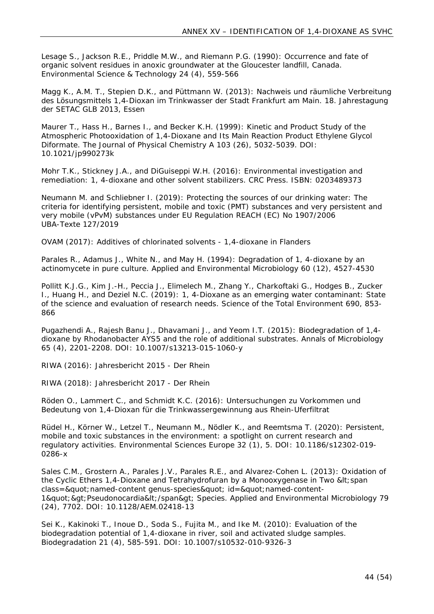Lesage S., Jackson R.E., Priddle M.W., and Riemann P.G. (1990): Occurrence and fate of organic solvent residues in anoxic groundwater at the Gloucester landfill, Canada. Environmental Science & Technology 24 (4), 559-566

Magg K., A.M. T., Stepien D.K., and Püttmann W. (2013): Nachweis und räumliche Verbreitung des Lösungsmittels 1,4-Dioxan im Trinkwasser der Stadt Frankfurt am Main. 18. Jahrestagung der SETAC GLB 2013, Essen

Maurer T., Hass H., Barnes I., and Becker K.H. (1999): Kinetic and Product Study of the Atmospheric Photooxidation of 1,4-Dioxane and Its Main Reaction Product Ethylene Glycol Diformate. The Journal of Physical Chemistry A 103 (26), 5032-5039. DOI: 10.1021/jp990273k

Mohr T.K., Stickney J.A., and DiGuiseppi W.H. (2016): Environmental investigation and remediation: 1, 4-dioxane and other solvent stabilizers. CRC Press. ISBN: 0203489373

Neumann M. and Schliebner I. (2019): Protecting the sources of our drinking water: The criteria for identifying persistent, mobile and toxic (PMT) substances and very persistent and very mobile (vPvM) substances under EU Regulation REACH (EC) No 1907/2006 UBA-Texte 127/2019

OVAM (2017): Additives of chlorinated solvents - 1,4-dioxane in Flanders

Parales R., Adamus J., White N., and May H. (1994): Degradation of 1, 4-dioxane by an actinomycete in pure culture. Applied and Environmental Microbiology 60 (12), 4527-4530

Pollitt K.J.G., Kim J.-H., Peccia J., Elimelech M., Zhang Y., Charkoftaki G., Hodges B., Zucker I., Huang H., and Deziel N.C. (2019): 1, 4-Dioxane as an emerging water contaminant: State of the science and evaluation of research needs. Science of the Total Environment 690, 853- 866

Pugazhendi A., Rajesh Banu J., Dhavamani J., and Yeom I.T. (2015): Biodegradation of 1,4 dioxane by Rhodanobacter AYS5 and the role of additional substrates. Annals of Microbiology 65 (4), 2201-2208. DOI: 10.1007/s13213-015-1060-y

RIWA (2016): Jahresbericht 2015 - Der Rhein

RIWA (2018): Jahresbericht 2017 - Der Rhein

Röden O., Lammert C., and Schmidt K.C. (2016): Untersuchungen zu Vorkommen und Bedeutung von 1,4-Dioxan für die Trinkwassergewinnung aus Rhein-Uferfiltrat

Rüdel H., Körner W., Letzel T., Neumann M., Nödler K., and Reemtsma T. (2020): Persistent, mobile and toxic substances in the environment: a spotlight on current research and regulatory activities. Environmental Sciences Europe 32 (1), 5. DOI: 10.1186/s12302-019- 0286-x

Sales C.M., Grostern A., Parales J.V., Parales R.E., and Alvarez-Cohen L. (2013): Oxidation of the Cyclic Ethers 1,4-Dioxane and Tetrahydrofuran by a Monooxygenase in Two < span  $class = \" named-content genus-specific \" id = \" named-content-$ 1" > Pseudonocardia< /span&gt; Species. Applied and Environmental Microbiology 79 (24), 7702. DOI: 10.1128/AEM.02418-13

Sei K., Kakinoki T., Inoue D., Soda S., Fujita M., and Ike M. (2010): Evaluation of the biodegradation potential of 1,4-dioxane in river, soil and activated sludge samples. Biodegradation 21 (4), 585-591. DOI: 10.1007/s10532-010-9326-3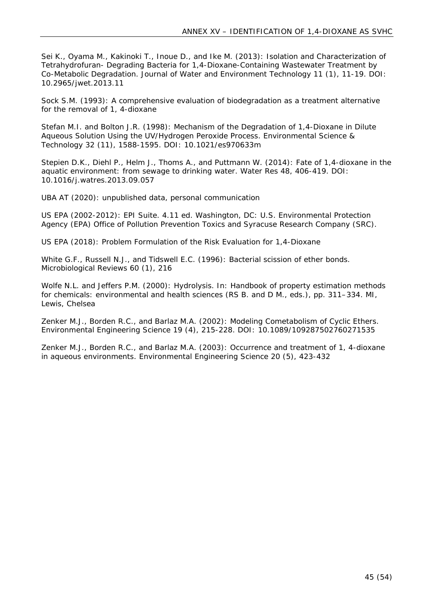Sei K., Oyama M., Kakinoki T., Inoue D., and Ike M. (2013): Isolation and Characterization of Tetrahydrofuran- Degrading Bacteria for 1,4-Dioxane-Containing Wastewater Treatment by Co-Metabolic Degradation. Journal of Water and Environment Technology 11 (1), 11-19. DOI: 10.2965/jwet.2013.11

Sock S.M. (1993): A comprehensive evaluation of biodegradation as a treatment alternative for the removal of 1, 4-dioxane

Stefan M.I. and Bolton J.R. (1998): Mechanism of the Degradation of 1,4-Dioxane in Dilute Aqueous Solution Using the UV/Hydrogen Peroxide Process. Environmental Science & Technology 32 (11), 1588-1595. DOI: 10.1021/es970633m

Stepien D.K., Diehl P., Helm J., Thoms A., and Puttmann W. (2014): Fate of 1,4-dioxane in the aquatic environment: from sewage to drinking water. Water Res 48, 406-419. DOI: 10.1016/j.watres.2013.09.057

UBA AT (2020): unpublished data, personal communication

US EPA (2002-2012): EPI Suite. 4.11 ed. Washington, DC: U.S. Environmental Protection Agency (EPA) Office of Pollution Prevention Toxics and Syracuse Research Company (SRC).

US EPA (2018): Problem Formulation of the Risk Evaluation for 1,4-Dioxane

White G.F., Russell N.J., and Tidswell E.C. (1996): Bacterial scission of ether bonds. Microbiological Reviews 60 (1), 216

Wolfe N.L. and Jeffers P.M. (2000): Hydrolysis. In: Handbook of property estimation methods for chemicals: environmental and health sciences (RS B. and D M., eds.), pp. 311–334. MI, Lewis, Chelsea

Zenker M.J., Borden R.C., and Barlaz M.A. (2002): Modeling Cometabolism of Cyclic Ethers. Environmental Engineering Science 19 (4), 215-228. DOI: 10.1089/109287502760271535

Zenker M.J., Borden R.C., and Barlaz M.A. (2003): Occurrence and treatment of 1, 4-dioxane in aqueous environments. Environmental Engineering Science 20 (5), 423-432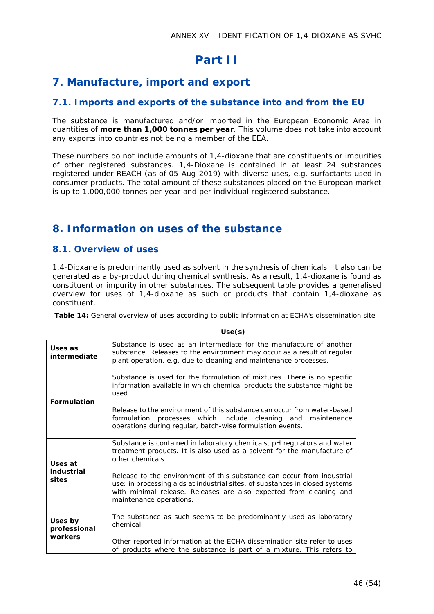# <span id="page-45-0"></span>**Part II**

## <span id="page-45-1"></span>**7. Manufacture, import and export**

## <span id="page-45-2"></span>**7.1. Imports and exports of the substance into and from the EU**

The substance is manufactured and/or imported in the European Economic Area in quantities of **more than 1,000 tonnes per year**. This volume does not take into account any exports into countries not being a member of the EEA.

These numbers do not include amounts of 1,4-dioxane that are constituents or impurities of other registered substances. 1,4-Dioxane is contained in at least 24 substances registered under REACH (as of 05-Aug-2019) with diverse uses, e.g. surfactants used in consumer products. The total amount of these substances placed on the European market is up to 1,000,000 tonnes per year and per individual registered substance.

## <span id="page-45-3"></span>**8. Information on uses of the substance**

## <span id="page-45-4"></span>**8.1. Overview of uses**

1,4-Dioxane is predominantly used as solvent in the synthesis of chemicals. It also can be generated as a by-product during chemical synthesis. As a result, 1,4-dioxane is found as constituent or impurity in other substances. The subsequent table provides a generalised overview for uses of 1,4-dioxane as such or products that contain 1,4-dioxane as constituent.

<span id="page-45-5"></span>**Table 14:** General overview of uses according to public information at ECHA's dissemination site

|                                    | Use(s)                                                                                                                                                                                                                                                                                                                                                                                                                            |
|------------------------------------|-----------------------------------------------------------------------------------------------------------------------------------------------------------------------------------------------------------------------------------------------------------------------------------------------------------------------------------------------------------------------------------------------------------------------------------|
| Uses as<br>intermediate            | Substance is used as an intermediate for the manufacture of another<br>substance. Releases to the environment may occur as a result of regular<br>plant operation, e.g. due to cleaning and maintenance processes.                                                                                                                                                                                                                |
| Formulation                        | Substance is used for the formulation of mixtures. There is no specific<br>information available in which chemical products the substance might be<br>used.<br>Release to the environment of this substance can occur from water-based<br>processes which include cleaning and<br>formulation<br>maintenance<br>operations during regular, batch-wise formulation events.                                                         |
| Uses at<br>industrial<br>sites     | Substance is contained in laboratory chemicals, pH regulators and water<br>treatment products. It is also used as a solvent for the manufacture of<br>other chemicals.<br>Release to the environment of this substance can occur from industrial<br>use: in processing aids at industrial sites, of substances in closed systems<br>with minimal release. Releases are also expected from cleaning and<br>maintenance operations. |
| Uses by<br>professional<br>workers | The substance as such seems to be predominantly used as laboratory<br>chemical.<br>Other reported information at the ECHA dissemination site refer to uses<br>of products where the substance is part of a mixture. This refers to                                                                                                                                                                                                |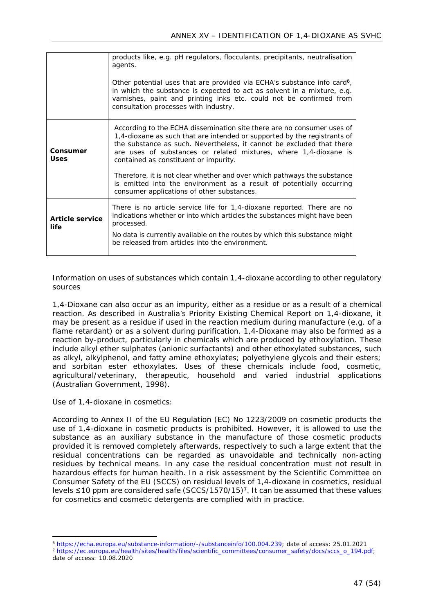|                         | products like, e.g. pH regulators, flocculants, precipitants, neutralisation<br>agents.                                                                                                                                                                                                                                                  |
|-------------------------|------------------------------------------------------------------------------------------------------------------------------------------------------------------------------------------------------------------------------------------------------------------------------------------------------------------------------------------|
|                         | Other potential uses that are provided via ECHA's substance info card <sup>6</sup> ,<br>in which the substance is expected to act as solvent in a mixture, e.g.<br>varnishes, paint and printing inks etc. could not be confirmed from<br>consultation processes with industry.                                                          |
| Consumer<br>Uses        | According to the ECHA dissemination site there are no consumer uses of<br>1,4-dioxane as such that are intended or supported by the registrants of<br>the substance as such. Nevertheless, it cannot be excluded that there<br>are uses of substances or related mixtures, where 1,4-dioxane is<br>contained as constituent or impurity. |
|                         | Therefore, it is not clear whether and over which pathways the substance<br>is emitted into the environment as a result of potentially occurring<br>consumer applications of other substances.                                                                                                                                           |
| Article service<br>life | There is no article service life for 1,4-dioxane reported. There are no<br>indications whether or into which articles the substances might have been<br>processed.                                                                                                                                                                       |
|                         | No data is currently available on the routes by which this substance might<br>be released from articles into the environment.                                                                                                                                                                                                            |

#### *Information on uses of substances which contain 1,4-dioxane according to other regulatory sources*

1,4-Dioxane can also occur as an impurity, either as a residue or as a result of a chemical reaction. As described in Australia's Priority Existing Chemical Report on 1,4-dioxane, it may be present as a residue if used in the reaction medium during manufacture (e.g. of a flame retardant) or as a solvent during purification. 1,4-Dioxane may also be formed as a reaction by-product, particularly in chemicals which are produced by ethoxylation. These include alkyl ether sulphates (anionic surfactants) and other ethoxylated substances, such as alkyl, alkylphenol, and fatty amine ethoxylates; polyethylene glycols and their esters; and sorbitan ester ethoxylates. Uses of these chemicals include food, cosmetic, agricultural/veterinary, therapeutic, household and varied industrial applications (Australian Government, 1998).

#### *Use of 1,4-dioxane in cosmetics:*

According to Annex II of the EU Regulation (EC) No 1223/2009 on cosmetic products the use of 1,4-dioxane in cosmetic products is prohibited. However, it is allowed to use the substance as an auxiliary substance in the manufacture of those cosmetic products provided it is removed completely afterwards, respectively to such a large extent that the residual concentrations can be regarded as unavoidable and technically non-acting residues by technical means. In any case the residual concentration must not result in hazardous effects for human health. In a risk assessment by the Scientific Committee on Consumer Safety of the EU (SCCS) on residual levels of 1,4-dioxane in cosmetics, residual levels ≤10 ppm are considered safe (SCCS/1570/15)<sup>7</sup>. It can be assumed that these values for cosmetics and cosmetic detergents are complied with in practice.

<sup>6</sup> [https://echa.europa.eu/substance-information/-/substanceinfo/100.004.239;](https://echa.europa.eu/substance-information/-/substanceinfo/100.004.239) date of access: 25.01.2021

<sup>7</sup> [https://ec.europa.eu/health/sites/health/files/scientific\\_committees/consumer\\_safety/docs/sccs\\_o\\_194.pdf;](https://ec.europa.eu/health/sites/health/files/scientific_committees/consumer_safety/docs/sccs_o_194.pdf) date of access: 10.08.2020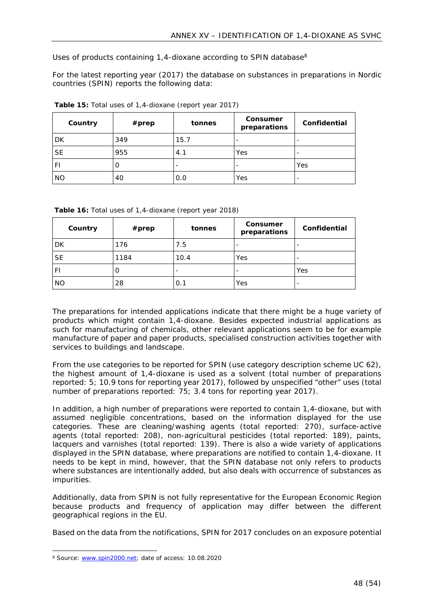*Uses of products containing 1,4-dioxane according to SPIN database<sup>8</sup>*

For the latest reporting year (2017) the database on substances in preparations in Nordic countries (SPIN) reports the following data:

| Country   | $#$ prep | tonnes | Consumer<br>preparations | Confidential             |
|-----------|----------|--------|--------------------------|--------------------------|
| <b>DK</b> | 349      | 15.7   | $\overline{\phantom{a}}$ | $\overline{\phantom{0}}$ |
| <b>SE</b> | 955      | 4.1    | Yes                      | $\overline{\phantom{0}}$ |
| F١        | O        | -      | -                        | Yes                      |
| <b>NO</b> | 40       | 0.0    | Yes                      | -                        |

<span id="page-47-0"></span>**Table 15:** Total uses of 1,4-dioxane (report year 2017)

<span id="page-47-1"></span>

|  | Table 16: Total uses of 1,4-dioxane (report year 2018) |
|--|--------------------------------------------------------|

| Country   | $#$ prep | tonnes | Consumer<br>preparations | Confidential             |
|-----------|----------|--------|--------------------------|--------------------------|
| <b>DK</b> | 176      | 7.5    | $\overline{\phantom{a}}$ | $\overline{\phantom{0}}$ |
| <b>SE</b> | 1184     | 10.4   | Yes                      | $\overline{\phantom{0}}$ |
| F١        | O        | ۰      | $\overline{\phantom{a}}$ | Yes                      |
| <b>NO</b> | 28       | 0.1    | Yes                      | -                        |

The preparations for intended applications indicate that there might be a huge variety of products which might contain 1,4-dioxane. Besides expected industrial applications as such for manufacturing of chemicals, other relevant applications seem to be for example manufacture of paper and paper products, specialised construction activities together with services to buildings and landscape.

From the use categories to be reported for SPIN (use category description scheme UC 62), the highest amount of 1,4-dioxane is used as a solvent (total number of preparations reported: 5; 10.9 tons for reporting year 2017), followed by unspecified "other" uses (total number of preparations reported: 75; 3.4 tons for reporting year 2017).

In addition, a high number of preparations were reported to contain 1,4-dioxane, but with assumed negligible concentrations, based on the information displayed for the use categories. These are cleaning/washing agents (total reported: 270), surface-active agents (total reported: 208), non-agricultural pesticides (total reported: 189), paints, lacquers and varnishes (total reported: 139). There is also a wide variety of applications displayed in the SPIN database, where preparations are notified to contain 1,4-dioxane. It needs to be kept in mind, however, that the SPIN database not only refers to products where substances are intentionally added, but also deals with occurrence of substances as impurities.

Additionally, data from SPIN is not fully representative for the European Economic Region because products and frequency of application may differ between the different geographical regions in the EU.

Based on the data from the notifications, SPIN for 2017 concludes on an exposure potential

<sup>&</sup>lt;sup>8</sup> Source: [www.spin2000.net](http://www.spin2000.net); date of access: 10.08.2020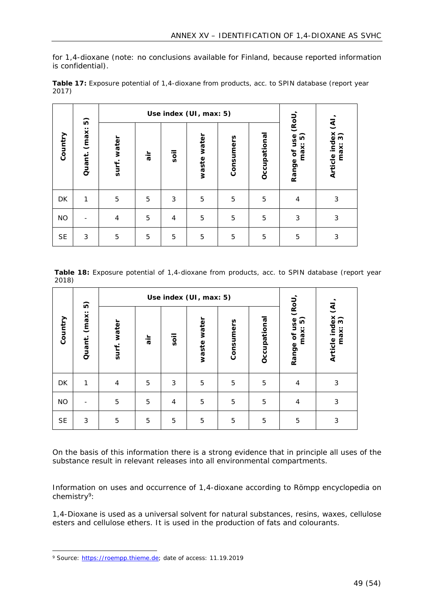for 1,4-dioxane (note: no conclusions available for Finland, because reported information is confidential).

|                            | 6              |     | Use index (UI, max: 5) |                |           |              |                                   |                                                       |   |
|----------------------------|----------------|-----|------------------------|----------------|-----------|--------------|-----------------------------------|-------------------------------------------------------|---|
| (max:<br>Country<br>Quant. | water<br>surf. | air | soil                   | water<br>waste | Consumers | Occupational | (RoU<br>Range of use<br>6<br>max: | $\overline{\mathfrak{S}}$<br>Article index<br>max: 3) |   |
| DK                         | 1              | 5   | 5                      | 3              | 5         | 5            | 5                                 | $\overline{4}$                                        | 3 |
| <b>NO</b>                  |                | 4   | 5                      | 4              | 5         | 5            | 5                                 | 3                                                     | 3 |
| <b>SE</b>                  | 3              | 5   | 5                      | 5              | 5         | 5            | 5                                 | 5                                                     | 3 |

<span id="page-48-0"></span>**Table 17:** Exposure potential of 1,4-dioxane from products, acc. to SPIN database (report year 2017)

<span id="page-48-1"></span>**Table 18:** Exposure potential of 1,4-dioxane from products, acc. to SPIN database (report year 2018)

| $\widehat{\mathbf{D}}$ | Use index (UI, max: 5) |                |          |                |                |           |              |                                   |                                                      |
|------------------------|------------------------|----------------|----------|----------------|----------------|-----------|--------------|-----------------------------------|------------------------------------------------------|
| Country                | (max:<br>Quant.        | water<br>surf. | ir۔<br>ه | soil           | water<br>waste | Consumers | Occupational | (RoU<br>Range of use<br>6<br>max: | $\overline{\mathcal{E}}$<br>Article index<br>max: 3) |
| DK                     | 1                      | $\overline{4}$ | 5        | 3              | 5              | 5         | 5            | $\overline{4}$                    | 3                                                    |
| <b>NO</b>              |                        | 5              | 5        | $\overline{4}$ | 5              | 5         | 5            | 4                                 | 3                                                    |
| <b>SE</b>              | 3                      | 5              | 5        | 5              | 5              | 5         | 5            | 5                                 | 3                                                    |

On the basis of this information there is a strong evidence that in principle all uses of the substance result in relevant releases into all environmental compartments.

*Information on uses and occurrence of 1,4-dioxane according to Römpp encyclopedia on chemistry<sup>9</sup>:*

1,4-Dioxane is used as a universal solvent for natural substances, resins, waxes, cellulose esters and cellulose ethers. It is used in the production of fats and colourants.

<sup>&</sup>lt;sup>9</sup> Source: [https://roempp.thieme.de;](https://roempp.thieme.de) date of access: 11.19.2019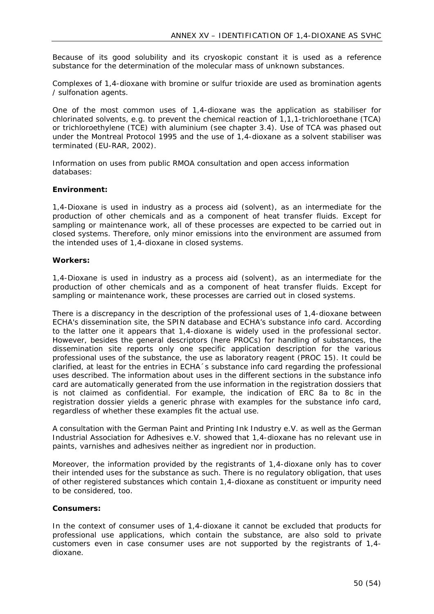Because of its good solubility and its cryoskopic constant it is used as a reference substance for the determination of the molecular mass of unknown substances.

Complexes of 1,4-dioxane with bromine or sulfur trioxide are used as bromination agents / sulfonation agents.

One of the most common uses of 1,4-dioxane was the application as stabiliser for chlorinated solvents, e.g. to prevent the chemical reaction of 1,1,1-trichloroethane (TCA) or trichloroethylene (TCE) with aluminium (see chapter 3.4). Use of TCA was phased out under the Montreal Protocol 1995 and the use of 1,4-dioxane as a solvent stabiliser was terminated (EU-RAR, 2002).

*Information on uses from public RMOA consultation and open access information databases:*

#### **Environment:**

1,4-Dioxane is used in industry as a process aid (solvent), as an intermediate for the production of other chemicals and as a component of heat transfer fluids. Except for sampling or maintenance work, all of these processes are expected to be carried out in closed systems. Therefore, only minor emissions into the environment are assumed from the intended uses of 1,4-dioxane in closed systems.

#### **Workers:**

1,4-Dioxane is used in industry as a process aid (solvent), as an intermediate for the production of other chemicals and as a component of heat transfer fluids. Except for sampling or maintenance work, these processes are carried out in closed systems.

There is a discrepancy in the description of the professional uses of 1,4-dioxane between ECHA's dissemination site, the SPIN database and ECHA's substance info card. According to the latter one it appears that 1,4-dioxane is widely used in the professional sector. However, besides the general descriptors (here PROCs) for handling of substances, the dissemination site reports only one specific application description for the various professional uses of the substance, the use as laboratory reagent (PROC 15). It could be clarified, at least for the entries in ECHA´s substance info card regarding the professional uses described. The information about uses in the different sections in the substance info card are automatically generated from the use information in the registration dossiers that is not claimed as confidential. For example, the indication of ERC 8a to 8c in the registration dossier yields a generic phrase with examples for the substance info card, regardless of whether these examples fit the actual use.

A consultation with the German Paint and Printing Ink Industry e.V. as well as the German Industrial Association for Adhesives e.V. showed that 1,4-dioxane has no relevant use in paints, varnishes and adhesives neither as ingredient nor in production.

Moreover, the information provided by the registrants of 1,4-dioxane only has to cover their intended uses for the substance as such. There is no regulatory obligation, that uses of other registered substances which contain 1,4-dioxane as constituent or impurity need to be considered, too.

#### **Consumers:**

In the context of consumer uses of 1,4-dioxane it cannot be excluded that products for professional use applications, which contain the substance, are also sold to private customers even in case consumer uses are not supported by the registrants of 1,4 dioxane.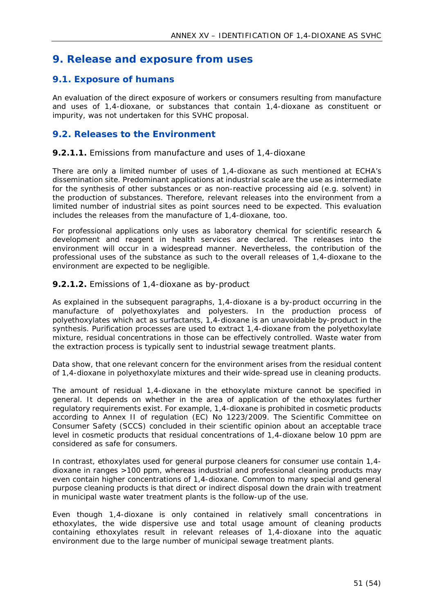## <span id="page-50-0"></span>**9. Release and exposure from uses**

## <span id="page-50-1"></span>**9.1. Exposure of humans**

An evaluation of the direct exposure of workers or consumers resulting from manufacture and uses of 1,4-dioxane, or substances that contain 1,4-dioxane as constituent or impurity, was not undertaken for this SVHC proposal.

## <span id="page-50-2"></span>**9.2. Releases to the Environment**

#### **9.2.1.1.** Emissions from manufacture and uses of 1,4-dioxane

There are only a limited number of uses of 1,4-dioxane as such mentioned at ECHA's dissemination site. Predominant applications at industrial scale are the use as intermediate for the synthesis of other substances or as non-reactive processing aid (e.g. solvent) in the production of substances. Therefore, relevant releases into the environment from a limited number of industrial sites as point sources need to be expected. This evaluation includes the releases from the manufacture of 1,4-dioxane, too.

For professional applications only uses as laboratory chemical for scientific research & development and reagent in health services are declared. The releases into the environment will occur in a widespread manner. Nevertheless, the contribution of the professional uses of the substance as such to the overall releases of 1,4-dioxane to the environment are expected to be negligible.

#### **9.2.1.2.** Emissions of 1,4-dioxane as by-product

As explained in the subsequent paragraphs, 1,4-dioxane is a by-product occurring in the manufacture of polyethoxylates and polyesters. In the production process of polyethoxylates which act as surfactants, 1,4-dioxane is an unavoidable by-product in the synthesis. Purification processes are used to extract 1,4-dioxane from the polyethoxylate mixture, residual concentrations in those can be effectively controlled. Waste water from the extraction process is typically sent to industrial sewage treatment plants.

Data show, that one relevant concern for the environment arises from the residual content of 1,4-dioxane in polyethoxylate mixtures and their wide-spread use in cleaning products.

The amount of residual 1,4-dioxane in the ethoxylate mixture cannot be specified in general. It depends on whether in the area of application of the ethoxylates further regulatory requirements exist. For example, 1,4-dioxane is prohibited in cosmetic products according to Annex II of regulation (EC) No 1223/2009. The Scientific Committee on Consumer Safety (SCCS) concluded in their scientific opinion about an acceptable trace level in cosmetic products that residual concentrations of 1,4-dioxane below 10 ppm are considered as safe for consumers.

In contrast, ethoxylates used for general purpose cleaners for consumer use contain 1,4 dioxane in ranges >100 ppm, whereas industrial and professional cleaning products may even contain higher concentrations of 1,4-dioxane. Common to many special and general purpose cleaning products is that direct or indirect disposal down the drain with treatment in municipal waste water treatment plants is the follow-up of the use.

Even though 1,4-dioxane is only contained in relatively small concentrations in ethoxylates, the wide dispersive use and total usage amount of cleaning products containing ethoxylates result in relevant releases of 1,4-dioxane into the aquatic environment due to the large number of municipal sewage treatment plants.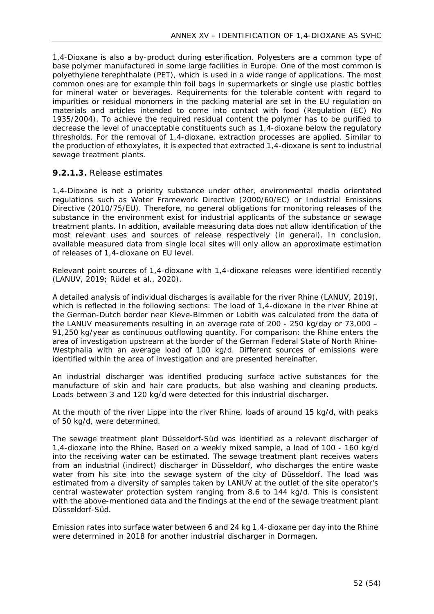1,4-Dioxane is also a by-product during esterification. Polyesters are a common type of base polymer manufactured in some large facilities in Europe. One of the most common is polyethylene terephthalate (PET), which is used in a wide range of applications. The most common ones are for example thin foil bags in supermarkets or single use plastic bottles for mineral water or beverages. Requirements for the tolerable content with regard to impurities or residual monomers in the packing material are set in the EU regulation on materials and articles intended to come into contact with food (Regulation (EC) No 1935/2004). To achieve the required residual content the polymer has to be purified to decrease the level of unacceptable constituents such as 1,4-dioxane below the regulatory thresholds. For the removal of 1,4-dioxane, extraction processes are applied. Similar to the production of ethoxylates, it is expected that extracted 1,4-dioxane is sent to industrial sewage treatment plants.

#### **9.2.1.3.** Release estimates

1,4-Dioxane is not a priority substance under other, environmental media orientated regulations such as Water Framework Directive (2000/60/EC) or Industrial Emissions Directive (2010/75/EU). Therefore, no general obligations for monitoring releases of the substance in the environment exist for industrial applicants of the substance or sewage treatment plants. In addition, available measuring data does not allow identification of the most relevant uses and sources of release respectively (in general). In conclusion, available measured data from single local sites will only allow an approximate estimation of releases of 1,4-dioxane on EU level.

Relevant point sources of 1,4-dioxane with 1,4-dioxane releases were identified recently (LANUV, 2019; Rüdel et al., 2020).

A detailed analysis of individual discharges is available for the river Rhine (LANUV, 2019), which is reflected in the following sections: The load of 1,4-dioxane in the river Rhine at the German-Dutch border near Kleve-Bimmen or Lobith was calculated from the data of the LANUV measurements resulting in an average rate of 200 - 250 kg/day or 73,000 – 91,250 kg/year as continuous outflowing quantity. For comparison: the Rhine enters the area of investigation upstream at the border of the German Federal State of North Rhine-Westphalia with an average load of 100 kg/d. Different sources of emissions were identified within the area of investigation and are presented hereinafter.

An industrial discharger was identified producing surface active substances for the manufacture of skin and hair care products, but also washing and cleaning products. Loads between 3 and 120 kg/d were detected for this industrial discharger.

At the mouth of the river Lippe into the river Rhine, loads of around 15 kg/d, with peaks of 50 kg/d, were determined.

The sewage treatment plant Düsseldorf-Süd was identified as a relevant discharger of 1,4-dioxane into the Rhine. Based on a weekly mixed sample, a load of 100 - 160 kg/d into the receiving water can be estimated. The sewage treatment plant receives waters from an industrial (indirect) discharger in Düsseldorf, who discharges the entire waste water from his site into the sewage system of the city of Düsseldorf. The load was estimated from a diversity of samples taken by LANUV at the outlet of the site operator's central wastewater protection system ranging from 8.6 to 144 kg/d. This is consistent with the above-mentioned data and the findings at the end of the sewage treatment plant Düsseldorf-Süd.

Emission rates into surface water between 6 and 24 kg 1,4-dioxane per day into the Rhine were determined in 2018 for another industrial discharger in Dormagen.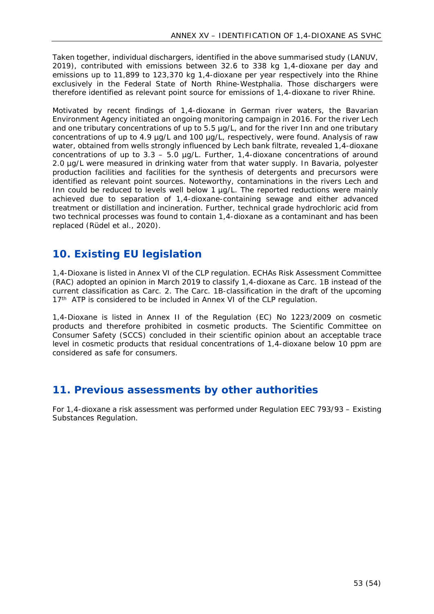Taken together, individual dischargers, identified in the above summarised study (LANUV, 2019), contributed with emissions between 32.6 to 338 kg 1,4-dioxane per day and emissions up to 11,899 to 123,370 kg 1,4-dioxane per year respectively into the Rhine exclusively in the Federal State of North Rhine-Westphalia. Those dischargers were therefore identified as relevant point source for emissions of 1,4-dioxane to river Rhine.

Motivated by recent findings of 1,4-dioxane in German river waters, the Bavarian Environment Agency initiated an ongoing monitoring campaign in 2016. For the river Lech and one tributary concentrations of up to 5.5 µg/L, and for the river Inn and one tributary concentrations of up to 4.9 ug/L and 100 ug/L, respectively, were found. Analysis of raw water, obtained from wells strongly influenced by Lech bank filtrate, revealed 1,4-dioxane concentrations of up to  $3.3 - 5.0$  µg/L. Further, 1,4-dioxane concentrations of around 2.0 µg/L were measured in drinking water from that water supply. In Bavaria, polyester production facilities and facilities for the synthesis of detergents and precursors were identified as relevant point sources. Noteworthy, contaminations in the rivers Lech and Inn could be reduced to levels well below 1  $\mu$ g/L. The reported reductions were mainly achieved due to separation of 1,4-dioxane-containing sewage and either advanced treatment or distillation and incineration. Further, technical grade hydrochloric acid from two technical processes was found to contain 1,4-dioxane as a contaminant and has been replaced (Rüdel et al., 2020).

## <span id="page-52-0"></span>**10. Existing EU legislation**

1,4-Dioxane is listed in Annex VI of the CLP regulation. ECHAs Risk Assessment Committee (RAC) adopted an opinion in March 2019 to classify 1,4-dioxane as Carc. 1B instead of the current classification as Carc. 2. The Carc. 1B-classification in the draft of the upcoming 17<sup>th</sup> ATP is considered to be included in Annex VI of the CLP regulation.

1,4-Dioxane is listed in Annex II of the Regulation (EC) No 1223/2009 on cosmetic products and therefore prohibited in cosmetic products. The Scientific Committee on Consumer Safety (SCCS) concluded in their scientific opinion about an acceptable trace level in cosmetic products that residual concentrations of 1,4-dioxane below 10 ppm are considered as safe for consumers.

## <span id="page-52-1"></span>**11. Previous assessments by other authorities**

For 1,4-dioxane a risk assessment was performed under Regulation EEC 793/93 – Existing Substances Regulation.